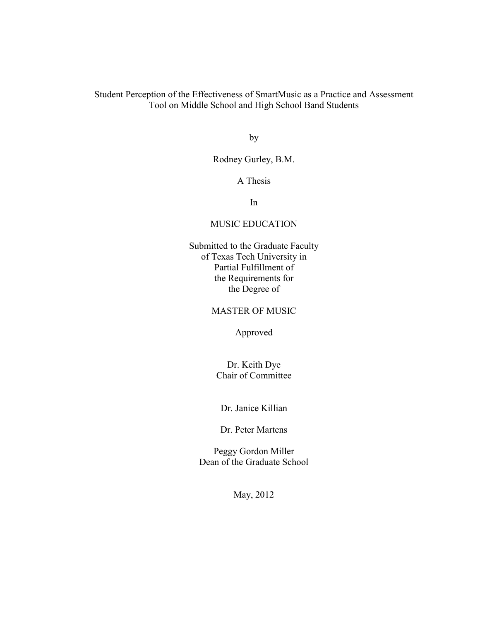Student Perception of the Effectiveness of SmartMusic as a Practice and Assessment Tool on Middle School and High School Band Students

by

### Rodney Gurley, B.M.

#### A Thesis

In

#### MUSIC EDUCATION

Submitted to the Graduate Faculty of Texas Tech University in Partial Fulfillment of the Requirements for the Degree of

#### MASTER OF MUSIC

Approved

Dr. Keith Dye Chair of Committee

Dr. Janice Killian

Dr. Peter Martens

Peggy Gordon Miller Dean of the Graduate School

May, 2012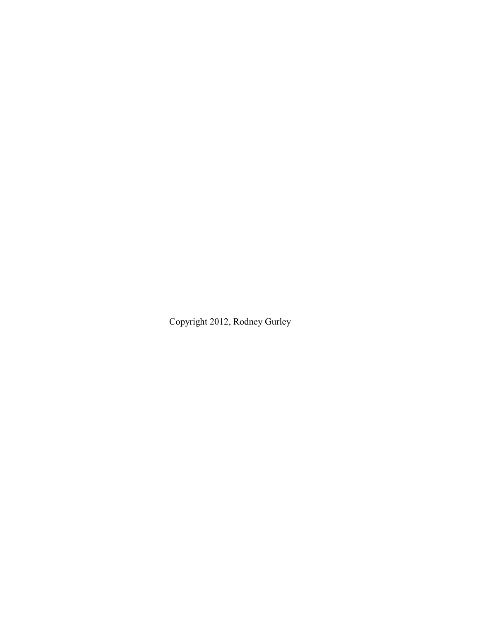Copyright 2012, Rodney Gurley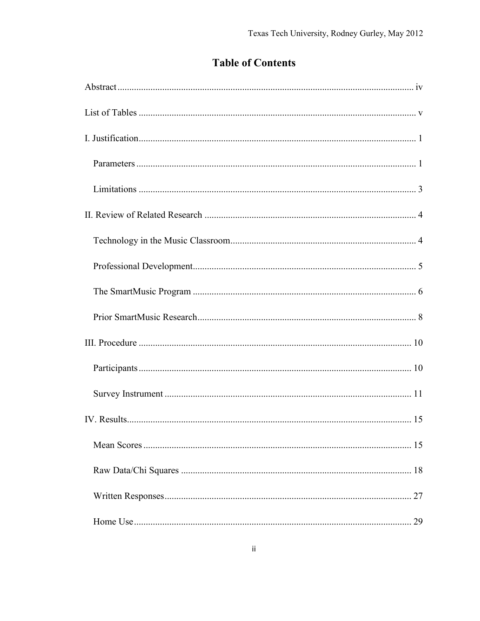# **Table of Contents**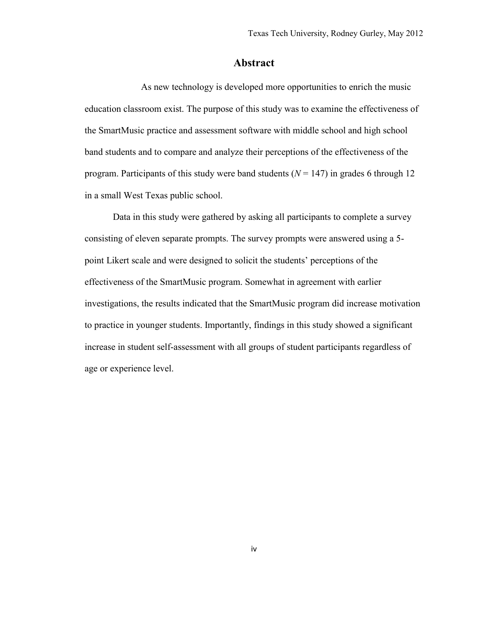## **Abstract**

<span id="page-4-0"></span>As new technology is developed more opportunities to enrich the music education classroom exist. The purpose of this study was to examine the effectiveness of the SmartMusic practice and assessment software with middle school and high school band students and to compare and analyze their perceptions of the effectiveness of the program. Participants of this study were band students ( $N = 147$ ) in grades 6 through 12 in a small West Texas public school.

Data in this study were gathered by asking all participants to complete a survey consisting of eleven separate prompts. The survey prompts were answered using a 5 point Likert scale and were designed to solicit the students' perceptions of the effectiveness of the SmartMusic program. Somewhat in agreement with earlier investigations, the results indicated that the SmartMusic program did increase motivation to practice in younger students. Importantly, findings in this study showed a significant increase in student self-assessment with all groups of student participants regardless of age or experience level.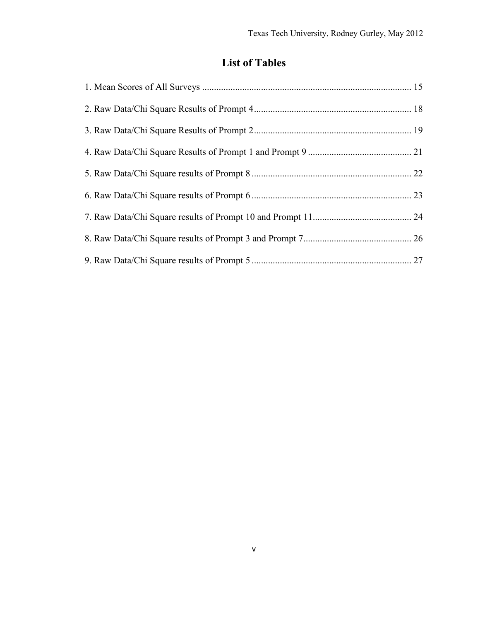# **List of Tables**

<span id="page-5-0"></span>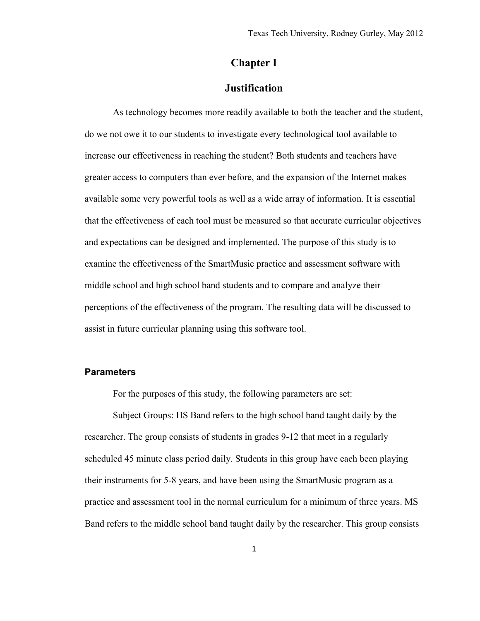# **Chapter I**

### **Justification**

<span id="page-6-0"></span>As technology becomes more readily available to both the teacher and the student, do we not owe it to our students to investigate every technological tool available to increase our effectiveness in reaching the student? Both students and teachers have greater access to computers than ever before, and the expansion of the Internet makes available some very powerful tools as well as a wide array of information. It is essential that the effectiveness of each tool must be measured so that accurate curricular objectives and expectations can be designed and implemented. The purpose of this study is to examine the effectiveness of the SmartMusic practice and assessment software with middle school and high school band students and to compare and analyze their perceptions of the effectiveness of the program. The resulting data will be discussed to assist in future curricular planning using this software tool.

#### <span id="page-6-1"></span>**Parameters**

For the purposes of this study, the following parameters are set:

Subject Groups: HS Band refers to the high school band taught daily by the researcher. The group consists of students in grades 9-12 that meet in a regularly scheduled 45 minute class period daily. Students in this group have each been playing their instruments for 5-8 years, and have been using the SmartMusic program as a practice and assessment tool in the normal curriculum for a minimum of three years. MS Band refers to the middle school band taught daily by the researcher. This group consists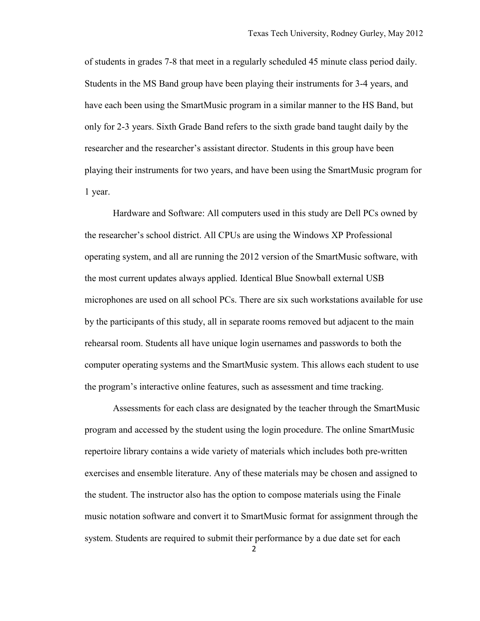of students in grades 7-8 that meet in a regularly scheduled 45 minute class period daily. Students in the MS Band group have been playing their instruments for 3-4 years, and have each been using the SmartMusic program in a similar manner to the HS Band, but only for 2-3 years. Sixth Grade Band refers to the sixth grade band taught daily by the researcher and the researcher's assistant director. Students in this group have been playing their instruments for two years, and have been using the SmartMusic program for 1 year.

Hardware and Software: All computers used in this study are Dell PCs owned by the researcher's school district. All CPUs are using the Windows XP Professional operating system, and all are running the 2012 version of the SmartMusic software, with the most current updates always applied. Identical Blue Snowball external USB microphones are used on all school PCs. There are six such workstations available for use by the participants of this study, all in separate rooms removed but adjacent to the main rehearsal room. Students all have unique login usernames and passwords to both the computer operating systems and the SmartMusic system. This allows each student to use the program's interactive online features, such as assessment and time tracking.

Assessments for each class are designated by the teacher through the SmartMusic program and accessed by the student using the login procedure. The online SmartMusic repertoire library contains a wide variety of materials which includes both pre-written exercises and ensemble literature. Any of these materials may be chosen and assigned to the student. The instructor also has the option to compose materials using the Finale music notation software and convert it to SmartMusic format for assignment through the system. Students are required to submit their performance by a due date set for each

2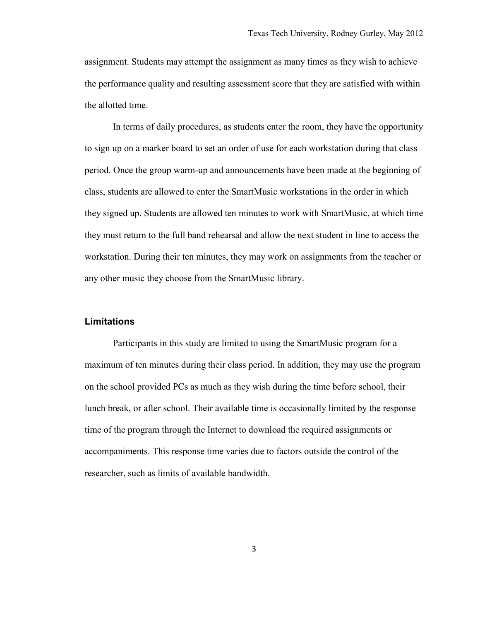assignment. Students may attempt the assignment as many times as they wish to achieve the performance quality and resulting assessment score that they are satisfied with within the allotted time.

In terms of daily procedures, as students enter the room, they have the opportunity to sign up on a marker board to set an order of use for each workstation during that class period. Once the group warm-up and announcements have been made at the beginning of class, students are allowed to enter the SmartMusic workstations in the order in which they signed up. Students are allowed ten minutes to work with SmartMusic, at which time they must return to the full band rehearsal and allow the next student in line to access the workstation. During their ten minutes, they may work on assignments from the teacher or any other music they choose from the SmartMusic library.

#### <span id="page-8-0"></span>**Limitations**

Participants in this study are limited to using the SmartMusic program for a maximum of ten minutes during their class period. In addition, they may use the program on the school provided PCs as much as they wish during the time before school, their lunch break, or after school. Their available time is occasionally limited by the response time of the program through the Internet to download the required assignments or accompaniments. This response time varies due to factors outside the control of the researcher, such as limits of available bandwidth.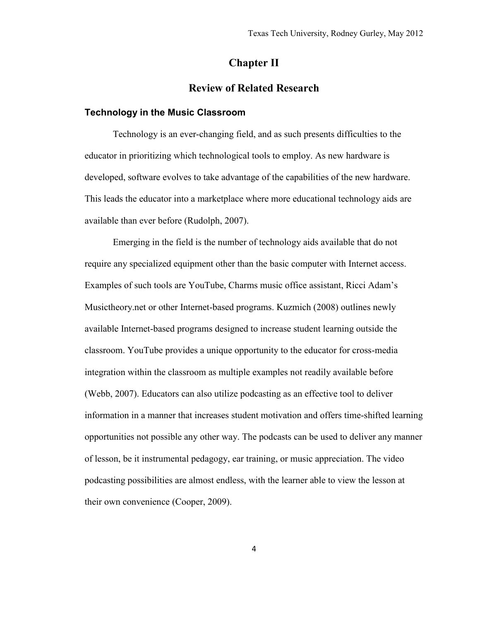# **Chapter II**

### **Review of Related Research**

#### <span id="page-9-1"></span><span id="page-9-0"></span>**Technology in the Music Classroom**

Technology is an ever-changing field, and as such presents difficulties to the educator in prioritizing which technological tools to employ. As new hardware is developed, software evolves to take advantage of the capabilities of the new hardware. This leads the educator into a marketplace where more educational technology aids are available than ever before (Rudolph, 2007).

Emerging in the field is the number of technology aids available that do not require any specialized equipment other than the basic computer with Internet access. Examples of such tools are YouTube, Charms music office assistant, Ricci Adam's Musictheory.net or other Internet-based programs. Kuzmich (2008) outlines newly available Internet-based programs designed to increase student learning outside the classroom. YouTube provides a unique opportunity to the educator for cross-media integration within the classroom as multiple examples not readily available before (Webb, 2007). Educators can also utilize podcasting as an effective tool to deliver information in a manner that increases student motivation and offers time-shifted learning opportunities not possible any other way. The podcasts can be used to deliver any manner of lesson, be it instrumental pedagogy, ear training, or music appreciation. The video podcasting possibilities are almost endless, with the learner able to view the lesson at their own convenience (Cooper, 2009).

4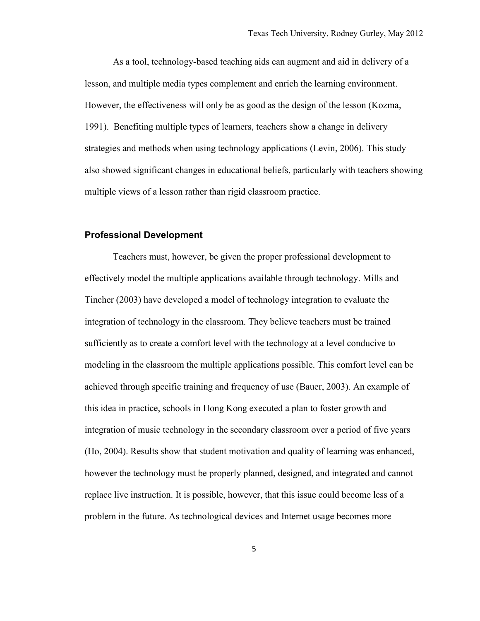As a tool, technology-based teaching aids can augment and aid in delivery of a lesson, and multiple media types complement and enrich the learning environment. However, the effectiveness will only be as good as the design of the lesson (Kozma, 1991). Benefiting multiple types of learners, teachers show a change in delivery strategies and methods when using technology applications (Levin, 2006). This study also showed significant changes in educational beliefs, particularly with teachers showing multiple views of a lesson rather than rigid classroom practice.

#### <span id="page-10-0"></span>**Professional Development**

Teachers must, however, be given the proper professional development to effectively model the multiple applications available through technology. Mills and Tincher (2003) have developed a model of technology integration to evaluate the integration of technology in the classroom. They believe teachers must be trained sufficiently as to create a comfort level with the technology at a level conducive to modeling in the classroom the multiple applications possible. This comfort level can be achieved through specific training and frequency of use (Bauer, 2003). An example of this idea in practice, schools in Hong Kong executed a plan to foster growth and integration of music technology in the secondary classroom over a period of five years (Ho, 2004). Results show that student motivation and quality of learning was enhanced, however the technology must be properly planned, designed, and integrated and cannot replace live instruction. It is possible, however, that this issue could become less of a problem in the future. As technological devices and Internet usage becomes more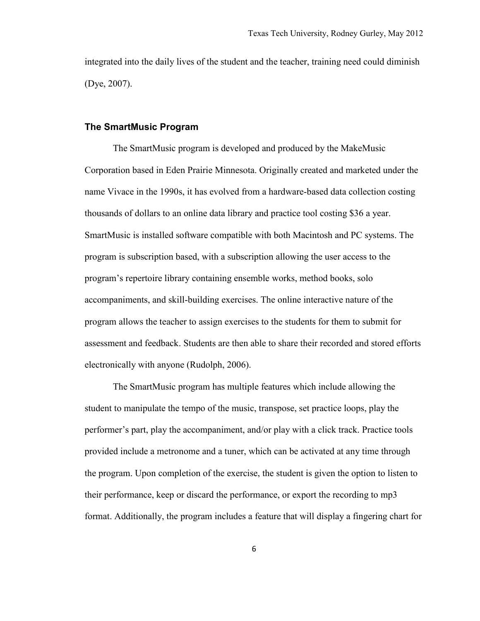integrated into the daily lives of the student and the teacher, training need could diminish (Dye, 2007).

#### <span id="page-11-0"></span>**The SmartMusic Program**

The SmartMusic program is developed and produced by the MakeMusic Corporation based in Eden Prairie Minnesota. Originally created and marketed under the name Vivace in the 1990s, it has evolved from a hardware-based data collection costing thousands of dollars to an online data library and practice tool costing \$36 a year. SmartMusic is installed software compatible with both Macintosh and PC systems. The program is subscription based, with a subscription allowing the user access to the program's repertoire library containing ensemble works, method books, solo accompaniments, and skill-building exercises. The online interactive nature of the program allows the teacher to assign exercises to the students for them to submit for assessment and feedback. Students are then able to share their recorded and stored efforts electronically with anyone (Rudolph, 2006).

The SmartMusic program has multiple features which include allowing the student to manipulate the tempo of the music, transpose, set practice loops, play the performer's part, play the accompaniment, and/or play with a click track. Practice tools provided include a metronome and a tuner, which can be activated at any time through the program. Upon completion of the exercise, the student is given the option to listen to their performance, keep or discard the performance, or export the recording to mp3 format. Additionally, the program includes a feature that will display a fingering chart for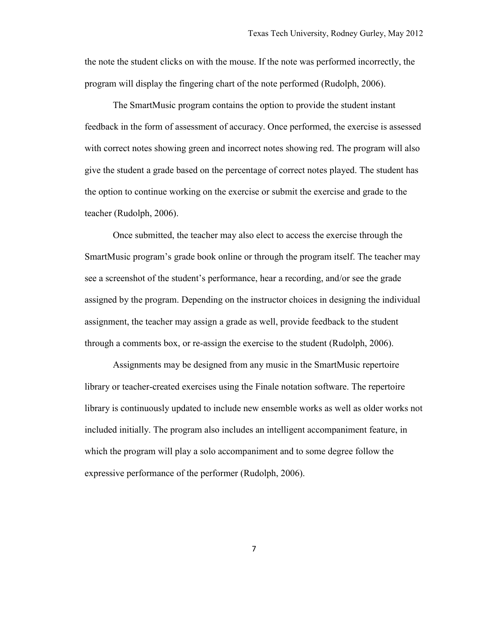the note the student clicks on with the mouse. If the note was performed incorrectly, the program will display the fingering chart of the note performed (Rudolph, 2006).

The SmartMusic program contains the option to provide the student instant feedback in the form of assessment of accuracy. Once performed, the exercise is assessed with correct notes showing green and incorrect notes showing red. The program will also give the student a grade based on the percentage of correct notes played. The student has the option to continue working on the exercise or submit the exercise and grade to the teacher (Rudolph, 2006).

Once submitted, the teacher may also elect to access the exercise through the SmartMusic program's grade book online or through the program itself. The teacher may see a screenshot of the student's performance, hear a recording, and/or see the grade assigned by the program. Depending on the instructor choices in designing the individual assignment, the teacher may assign a grade as well, provide feedback to the student through a comments box, or re-assign the exercise to the student (Rudolph, 2006).

Assignments may be designed from any music in the SmartMusic repertoire library or teacher-created exercises using the Finale notation software. The repertoire library is continuously updated to include new ensemble works as well as older works not included initially. The program also includes an intelligent accompaniment feature, in which the program will play a solo accompaniment and to some degree follow the expressive performance of the performer (Rudolph, 2006).

7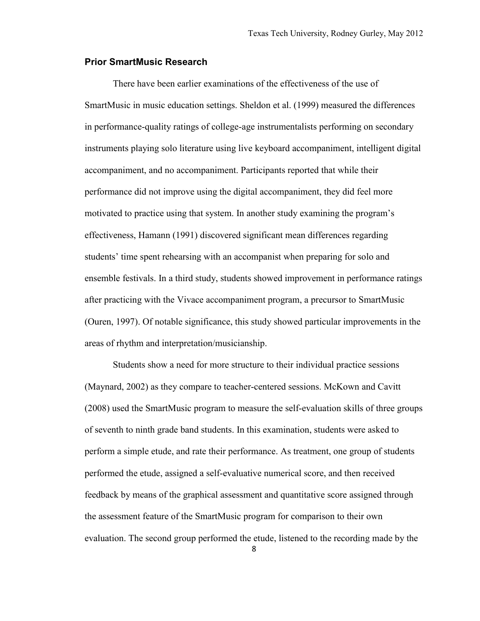#### <span id="page-13-0"></span>**Prior SmartMusic Research**

There have been earlier examinations of the effectiveness of the use of SmartMusic in music education settings. Sheldon et al. (1999) measured the differences in performance-quality ratings of college-age instrumentalists performing on secondary instruments playing solo literature using live keyboard accompaniment, intelligent digital accompaniment, and no accompaniment. Participants reported that while their performance did not improve using the digital accompaniment, they did feel more motivated to practice using that system. In another study examining the program's effectiveness, Hamann (1991) discovered significant mean differences regarding students' time spent rehearsing with an accompanist when preparing for solo and ensemble festivals. In a third study, students showed improvement in performance ratings after practicing with the Vivace accompaniment program, a precursor to SmartMusic (Ouren, 1997). Of notable significance, this study showed particular improvements in the areas of rhythm and interpretation/musicianship.

Students show a need for more structure to their individual practice sessions (Maynard, 2002) as they compare to teacher-centered sessions. McKown and Cavitt (2008) used the SmartMusic program to measure the self-evaluation skills of three groups of seventh to ninth grade band students. In this examination, students were asked to perform a simple etude, and rate their performance. As treatment, one group of students performed the etude, assigned a self-evaluative numerical score, and then received feedback by means of the graphical assessment and quantitative score assigned through the assessment feature of the SmartMusic program for comparison to their own evaluation. The second group performed the etude, listened to the recording made by the

8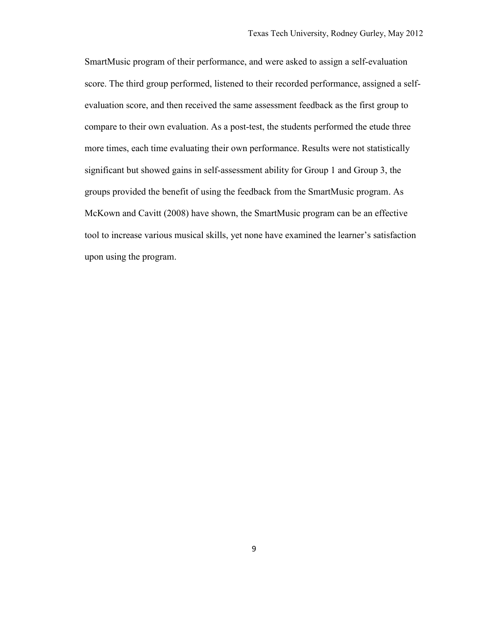SmartMusic program of their performance, and were asked to assign a self-evaluation score. The third group performed, listened to their recorded performance, assigned a selfevaluation score, and then received the same assessment feedback as the first group to compare to their own evaluation. As a post-test, the students performed the etude three more times, each time evaluating their own performance. Results were not statistically significant but showed gains in self-assessment ability for Group 1 and Group 3, the groups provided the benefit of using the feedback from the SmartMusic program. As McKown and Cavitt (2008) have shown, the SmartMusic program can be an effective tool to increase various musical skills, yet none have examined the learner's satisfaction upon using the program.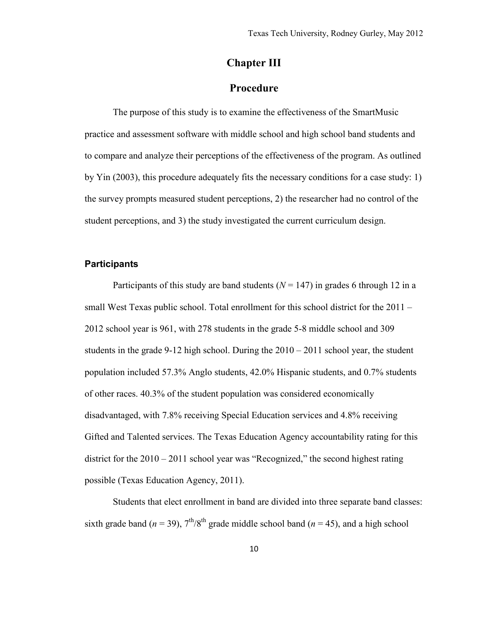# **Chapter III**

# **Procedure**

<span id="page-15-0"></span>The purpose of this study is to examine the effectiveness of the SmartMusic practice and assessment software with middle school and high school band students and to compare and analyze their perceptions of the effectiveness of the program. As outlined by Yin (2003), this procedure adequately fits the necessary conditions for a case study: 1) the survey prompts measured student perceptions, 2) the researcher had no control of the student perceptions, and 3) the study investigated the current curriculum design.

#### <span id="page-15-1"></span>**Participants**

Participants of this study are band students  $(N = 147)$  in grades 6 through 12 in a small West Texas public school. Total enrollment for this school district for the 2011 – 2012 school year is 961, with 278 students in the grade 5-8 middle school and 309 students in the grade 9-12 high school. During the  $2010 - 2011$  school year, the student population included 57.3% Anglo students, 42.0% Hispanic students, and 0.7% students of other races. 40.3% of the student population was considered economically disadvantaged, with 7.8% receiving Special Education services and 4.8% receiving Gifted and Talented services. The Texas Education Agency accountability rating for this district for the 2010 – 2011 school year was "Recognized," the second highest rating possible (Texas Education Agency, 2011).

Students that elect enrollment in band are divided into three separate band classes: sixth grade band ( $n = 39$ ),  $7<sup>th</sup>/8<sup>th</sup>$  grade middle school band ( $n = 45$ ), and a high school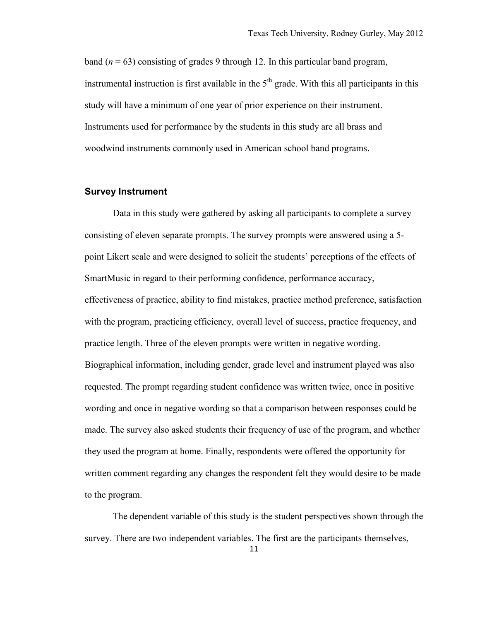band  $(n = 63)$  consisting of grades 9 through 12. In this particular band program, instrumental instruction is first available in the  $5<sup>th</sup>$  grade. With this all participants in this study will have a minimum of one year of prior experience on their instrument. Instruments used for performance by the students in this study are all brass and woodwind instruments commonly used in American school band programs.

#### <span id="page-16-0"></span>**Survey Instrument**

Data in this study were gathered by asking all participants to complete a survey consisting of eleven separate prompts. The survey prompts were answered using a 5 point Likert scale and were designed to solicit the students' perceptions of the effects of SmartMusic in regard to their performing confidence, performance accuracy, effectiveness of practice, ability to find mistakes, practice method preference, satisfaction with the program, practicing efficiency, overall level of success, practice frequency, and practice length. Three of the eleven prompts were written in negative wording. Biographical information, including gender, grade level and instrument played was also requested. The prompt regarding student confidence was written twice, once in positive wording and once in negative wording so that a comparison between responses could be made. The survey also asked students their frequency of use of the program, and whether they used the program at home. Finally, respondents were offered the opportunity for written comment regarding any changes the respondent felt they would desire to be made to the program.

The dependent variable of this study is the student perspectives shown through the survey. There are two independent variables. The first are the participants themselves,

11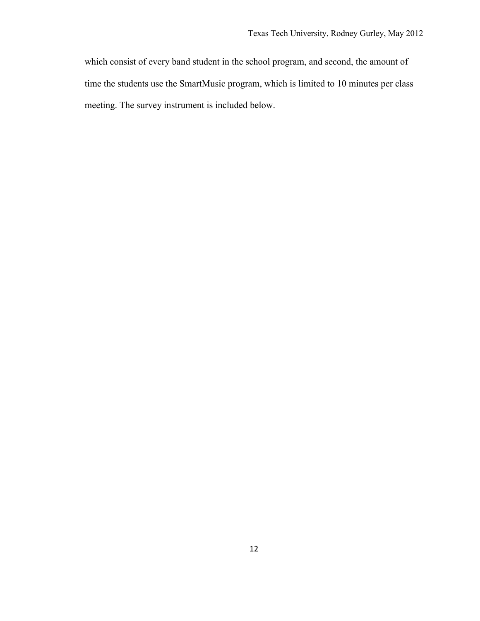which consist of every band student in the school program, and second, the amount of time the students use the SmartMusic program, which is limited to 10 minutes per class meeting. The survey instrument is included below.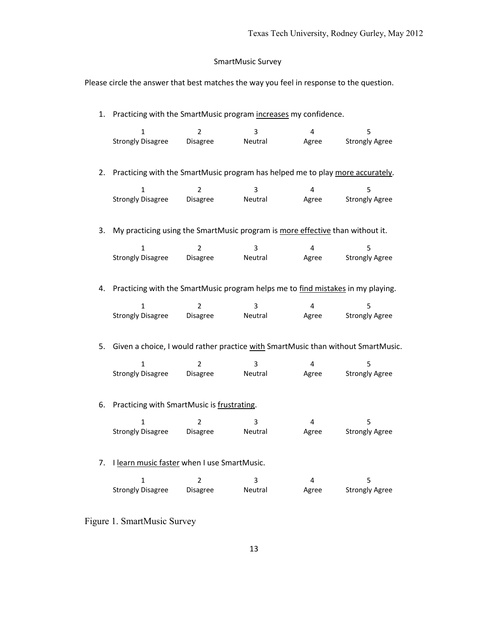# SmartMusic Survey

Please circle the answer that best matches the way you feel in response to the question.

| 1. | Practicing with the SmartMusic program increases my confidence.                 |                 |         |                         |                                                                                  |  |
|----|---------------------------------------------------------------------------------|-----------------|---------|-------------------------|----------------------------------------------------------------------------------|--|
|    | 1                                                                               | $\overline{2}$  | 3       | 4                       | 5                                                                                |  |
|    | <b>Strongly Disagree</b>                                                        | <b>Disagree</b> | Neutral | Agree                   | <b>Strongly Agree</b>                                                            |  |
| 2. | Practicing with the SmartMusic program has helped me to play more accurately.   |                 |         |                         |                                                                                  |  |
|    | 1                                                                               | 2               | 3       | 4                       | 5                                                                                |  |
|    | <b>Strongly Disagree</b>                                                        | Disagree        | Neutral | Agree                   | <b>Strongly Agree</b>                                                            |  |
| 3. | My practicing using the SmartMusic program is more effective than without it.   |                 |         |                         |                                                                                  |  |
|    | $\mathbf{1}$                                                                    | $\overline{2}$  | 3       | $\overline{\mathbf{4}}$ | 5                                                                                |  |
|    | <b>Strongly Disagree</b>                                                        | Disagree        | Neutral | Agree                   | <b>Strongly Agree</b>                                                            |  |
| 4. | Practicing with the SmartMusic program helps me to find mistakes in my playing. |                 |         |                         |                                                                                  |  |
|    | $\mathbf{1}$                                                                    | $\overline{2}$  | 3       | 4                       | 5                                                                                |  |
|    | <b>Strongly Disagree</b>                                                        | Disagree        | Neutral | Agree                   | <b>Strongly Agree</b>                                                            |  |
| 5. |                                                                                 |                 |         |                         | Given a choice, I would rather practice with SmartMusic than without SmartMusic. |  |
|    | 1                                                                               | $\overline{2}$  | 3       | 4                       | 5                                                                                |  |
|    | <b>Strongly Disagree</b>                                                        | Disagree        | Neutral | Agree                   | <b>Strongly Agree</b>                                                            |  |
| 6. | Practicing with SmartMusic is frustrating.                                      |                 |         |                         |                                                                                  |  |
|    | $\mathbf{1}$                                                                    | $\overline{2}$  | 3       | 4                       | 5                                                                                |  |
|    | <b>Strongly Disagree</b>                                                        | Disagree        | Neutral | Agree                   | <b>Strongly Agree</b>                                                            |  |
| 7. | I learn music faster when I use SmartMusic.                                     |                 |         |                         |                                                                                  |  |
|    | $\mathbf{1}$                                                                    | 2               | 3       | 4                       | 5                                                                                |  |
|    | <b>Strongly Disagree</b>                                                        | <b>Disagree</b> | Neutral | Agree                   | <b>Strongly Agree</b>                                                            |  |

Figure 1. SmartMusic Survey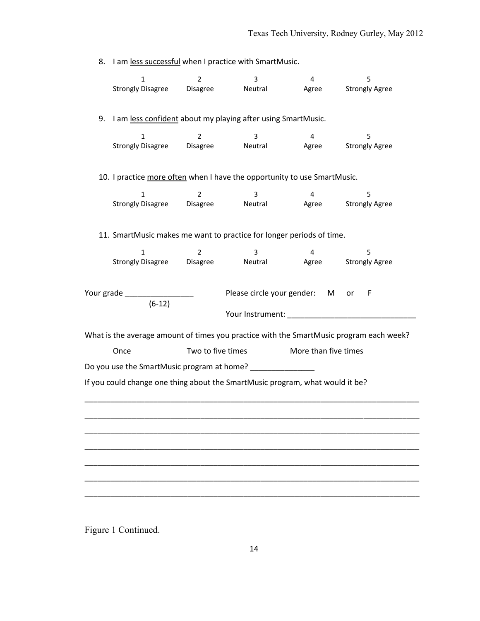8. I am less successful when I practice with SmartMusic. 1 2 3 4 5 Strongly Disagree Disagree Neutral Agree Strongly Agree 9. I am less confident about my playing after using SmartMusic. 1 2 3 4 5 Strongly Disagree Disagree Neutral Agree Strongly Agree 10. I practice more often when I have the opportunity to use SmartMusic. 1 2 3 4 5 Strongly Disagree Disagree Neutral Agree Strongly Agree 11. SmartMusic makes me want to practice for longer periods of time. 1 2 3 4 5 Strongly Disagree Disagree Neutral Agree Strongly Agree Your grade \_\_\_\_\_\_\_\_\_\_\_\_\_\_\_\_ Please circle your gender: M or F (6-12) Your Instrument: \_\_\_\_\_\_\_\_\_\_\_\_\_\_\_\_\_\_\_\_\_\_\_\_\_\_\_\_\_\_ What is the average amount of times you practice with the SmartMusic program each week? Once Two to five times More than five times Do you use the SmartMusic program at home? If you could change one thing about the SmartMusic program, what would it be? \_\_\_\_\_\_\_\_\_\_\_\_\_\_\_\_\_\_\_\_\_\_\_\_\_\_\_\_\_\_\_\_\_\_\_\_\_\_\_\_\_\_\_\_\_\_\_\_\_\_\_\_\_\_\_\_\_\_\_\_\_\_\_\_\_\_\_\_\_\_\_\_\_\_\_\_\_\_ \_\_\_\_\_\_\_\_\_\_\_\_\_\_\_\_\_\_\_\_\_\_\_\_\_\_\_\_\_\_\_\_\_\_\_\_\_\_\_\_\_\_\_\_\_\_\_\_\_\_\_\_\_\_\_\_\_\_\_\_\_\_\_\_\_\_\_\_\_\_\_\_\_\_\_\_\_\_ \_\_\_\_\_\_\_\_\_\_\_\_\_\_\_\_\_\_\_\_\_\_\_\_\_\_\_\_\_\_\_\_\_\_\_\_\_\_\_\_\_\_\_\_\_\_\_\_\_\_\_\_\_\_\_\_\_\_\_\_\_\_\_\_\_\_\_\_\_\_\_\_\_\_\_\_\_\_ \_\_\_\_\_\_\_\_\_\_\_\_\_\_\_\_\_\_\_\_\_\_\_\_\_\_\_\_\_\_\_\_\_\_\_\_\_\_\_\_\_\_\_\_\_\_\_\_\_\_\_\_\_\_\_\_\_\_\_\_\_\_\_\_\_\_\_\_\_\_\_\_\_\_\_\_\_\_ \_\_\_\_\_\_\_\_\_\_\_\_\_\_\_\_\_\_\_\_\_\_\_\_\_\_\_\_\_\_\_\_\_\_\_\_\_\_\_\_\_\_\_\_\_\_\_\_\_\_\_\_\_\_\_\_\_\_\_\_\_\_\_\_\_\_\_\_\_\_\_\_\_\_\_\_\_\_ \_\_\_\_\_\_\_\_\_\_\_\_\_\_\_\_\_\_\_\_\_\_\_\_\_\_\_\_\_\_\_\_\_\_\_\_\_\_\_\_\_\_\_\_\_\_\_\_\_\_\_\_\_\_\_\_\_\_\_\_\_\_\_\_\_\_\_\_\_\_\_\_\_\_\_\_\_\_ \_\_\_\_\_\_\_\_\_\_\_\_\_\_\_\_\_\_\_\_\_\_\_\_\_\_\_\_\_\_\_\_\_\_\_\_\_\_\_\_\_\_\_\_\_\_\_\_\_\_\_\_\_\_\_\_\_\_\_\_\_\_\_\_\_\_\_\_\_\_\_\_\_\_\_\_\_\_

Figure 1 Continued.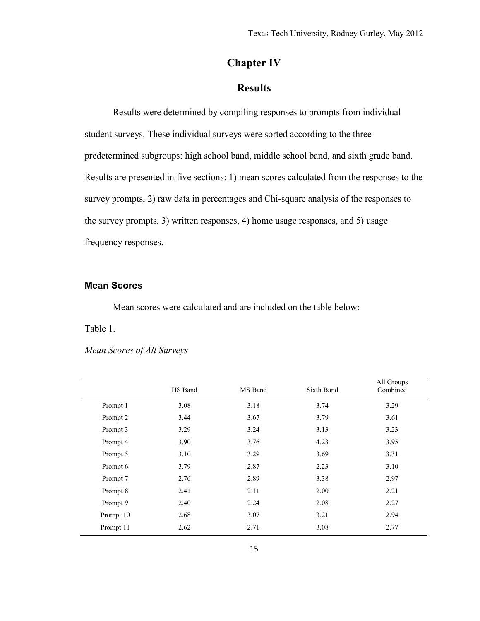# **Chapter IV**

# **Results**

<span id="page-20-0"></span>Results were determined by compiling responses to prompts from individual student surveys. These individual surveys were sorted according to the three predetermined subgroups: high school band, middle school band, and sixth grade band. Results are presented in five sections: 1) mean scores calculated from the responses to the survey prompts, 2) raw data in percentages and Chi-square analysis of the responses to the survey prompts, 3) written responses, 4) home usage responses, and 5) usage frequency responses.

#### <span id="page-20-1"></span>**Mean Scores**

Mean scores were calculated and are included on the table below:

Table 1.

*Mean Scores of All Surveys*

| HS Band | MS Band | Sixth Band | All Groups<br>Combined |
|---------|---------|------------|------------------------|
| 3.08    | 3.18    | 3.74       | 3.29                   |
| 3.44    | 3.67    | 3.79       | 3.61                   |
| 3.29    | 3.24    | 3.13       | 3.23                   |
| 3.90    | 3.76    | 4.23       | 3.95                   |
| 3.10    | 3.29    | 3.69       | 3.31                   |
| 3.79    | 2.87    | 2.23       | 3.10                   |
| 2.76    | 2.89    | 3.38       | 2.97                   |
| 2.41    | 2.11    | 2.00       | 2.21                   |
| 2.40    | 2.24    | 2.08       | 2.27                   |
| 2.68    | 3.07    | 3.21       | 2.94                   |
| 2.62    | 2.71    | 3.08       | 2.77                   |
|         |         |            |                        |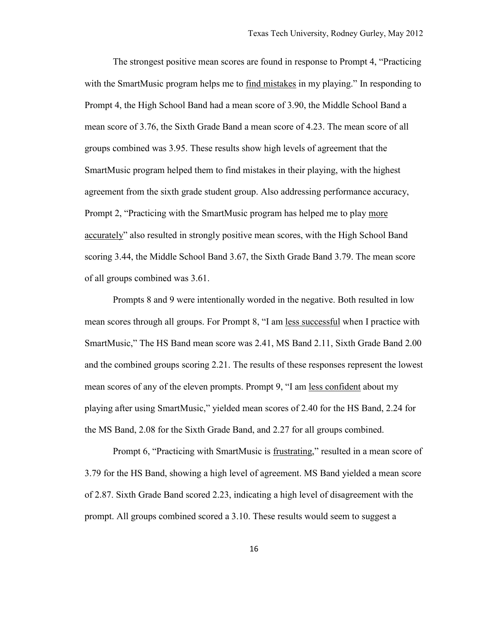The strongest positive mean scores are found in response to Prompt 4, "Practicing with the SmartMusic program helps me to find mistakes in my playing." In responding to Prompt 4, the High School Band had a mean score of 3.90, the Middle School Band a mean score of 3.76, the Sixth Grade Band a mean score of 4.23. The mean score of all groups combined was 3.95. These results show high levels of agreement that the SmartMusic program helped them to find mistakes in their playing, with the highest agreement from the sixth grade student group. Also addressing performance accuracy, Prompt 2, "Practicing with the SmartMusic program has helped me to play more accurately" also resulted in strongly positive mean scores, with the High School Band scoring 3.44, the Middle School Band 3.67, the Sixth Grade Band 3.79. The mean score of all groups combined was 3.61.

Prompts 8 and 9 were intentionally worded in the negative. Both resulted in low mean scores through all groups. For Prompt 8, "I am <u>less successful</u> when I practice with SmartMusic," The HS Band mean score was 2.41, MS Band 2.11, Sixth Grade Band 2.00 and the combined groups scoring 2.21. The results of these responses represent the lowest mean scores of any of the eleven prompts. Prompt 9, "I am less confident about my playing after using SmartMusic," yielded mean scores of 2.40 for the HS Band, 2.24 for the MS Band, 2.08 for the Sixth Grade Band, and 2.27 for all groups combined.

Prompt 6, "Practicing with SmartMusic is frustrating," resulted in a mean score of 3.79 for the HS Band, showing a high level of agreement. MS Band yielded a mean score of 2.87. Sixth Grade Band scored 2.23, indicating a high level of disagreement with the prompt. All groups combined scored a 3.10. These results would seem to suggest a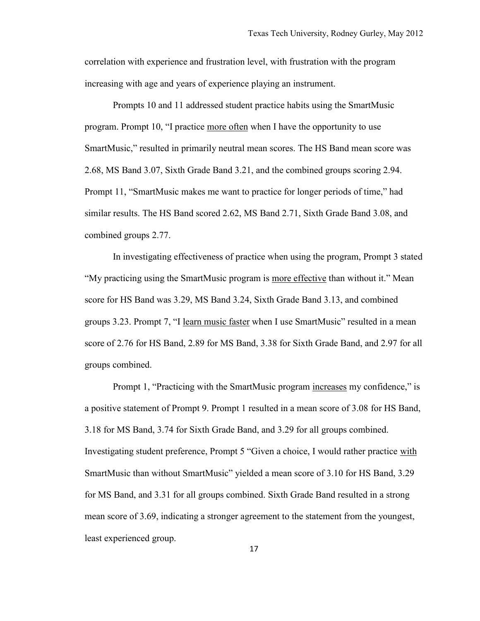correlation with experience and frustration level, with frustration with the program increasing with age and years of experience playing an instrument.

Prompts 10 and 11 addressed student practice habits using the SmartMusic program. Prompt 10, "I practice more often when I have the opportunity to use SmartMusic," resulted in primarily neutral mean scores. The HS Band mean score was 2.68, MS Band 3.07, Sixth Grade Band 3.21, and the combined groups scoring 2.94. Prompt 11, "SmartMusic makes me want to practice for longer periods of time," had similar results. The HS Band scored 2.62, MS Band 2.71, Sixth Grade Band 3.08, and combined groups 2.77.

In investigating effectiveness of practice when using the program, Prompt 3 stated "My practicing using the SmartMusic program is more effective than without it." Mean score for HS Band was 3.29, MS Band 3.24, Sixth Grade Band 3.13, and combined groups 3.23. Prompt 7, "I learn music faster when I use SmartMusic" resulted in a mean score of 2.76 for HS Band, 2.89 for MS Band, 3.38 for Sixth Grade Band, and 2.97 for all groups combined.

Prompt 1, "Practicing with the SmartMusic program increases my confidence," is a positive statement of Prompt 9. Prompt 1 resulted in a mean score of 3.08 for HS Band, 3.18 for MS Band, 3.74 for Sixth Grade Band, and 3.29 for all groups combined. Investigating student preference, Prompt 5 "Given a choice, I would rather practice with SmartMusic than without SmartMusic" yielded a mean score of 3.10 for HS Band, 3.29 for MS Band, and 3.31 for all groups combined. Sixth Grade Band resulted in a strong mean score of 3.69, indicating a stronger agreement to the statement from the youngest, least experienced group.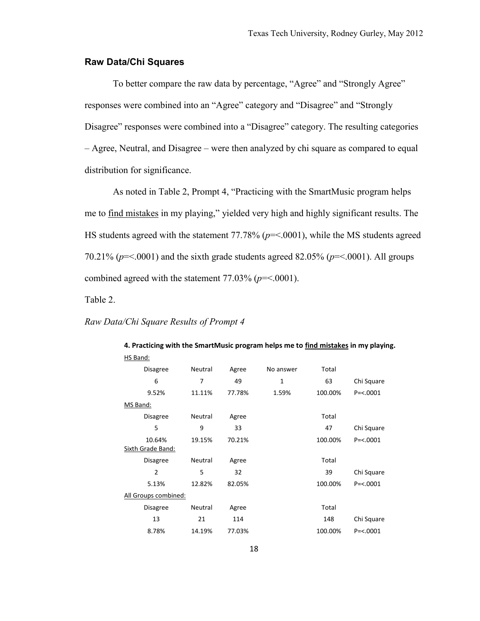#### <span id="page-23-0"></span>**Raw Data/Chi Squares**

To better compare the raw data by percentage, "Agree" and "Strongly Agree" responses were combined into an "Agree" category and "Disagree" and "Strongly Disagree" responses were combined into a "Disagree" category. The resulting categories – Agree, Neutral, and Disagree – were then analyzed by chi square as compared to equal distribution for significance.

As noted in Table 2, Prompt 4, "Practicing with the SmartMusic program helps me to find mistakes in my playing," yielded very high and highly significant results. The HS students agreed with the statement 77.78% ( $p = 0.001$ ), while the MS students agreed 70.21% ( $p = 0.001$ ) and the sixth grade students agreed 82.05% ( $p = 0.001$ ). All groups combined agreed with the statement  $77.03\%$  ( $p = < .0001$ ).

Table 2.

#### *Raw Data/Chi Square Results of Prompt 4*

| HS Band:                 |         |        |           |         |              |
|--------------------------|---------|--------|-----------|---------|--------------|
| <b>Disagree</b>          | Neutral | Agree  | No answer | Total   |              |
| 6                        | 7       | 49     | 1         | 63      | Chi Square   |
| 9.52%                    | 11.11%  | 77.78% | 1.59%     | 100.00% | $P = < 0001$ |
| MS Band:                 |         |        |           |         |              |
| <b>Disagree</b>          | Neutral | Agree  |           | Total   |              |
| 5                        | 9       | 33     |           | 47      | Chi Square   |
| 10.64%                   | 19.15%  | 70.21% |           | 100.00% | $P = < 0001$ |
| <b>Sixth Grade Band:</b> |         |        |           |         |              |
| <b>Disagree</b>          | Neutral | Agree  |           | Total   |              |
| $\overline{2}$           | 5       | 32     |           | 39      | Chi Square   |
| 5.13%                    | 12.82%  | 82.05% |           | 100.00% | $P = < 0001$ |
| All Groups combined:     |         |        |           |         |              |
| <b>Disagree</b>          | Neutral | Agree  |           | Total   |              |
| 13                       | 21      | 114    |           | 148     | Chi Square   |
| 8.78%                    | 14.19%  | 77.03% |           | 100.00% | $P = < 0001$ |

# **4. Practicing with the SmartMusic program helps me to find mistakes in my playing.**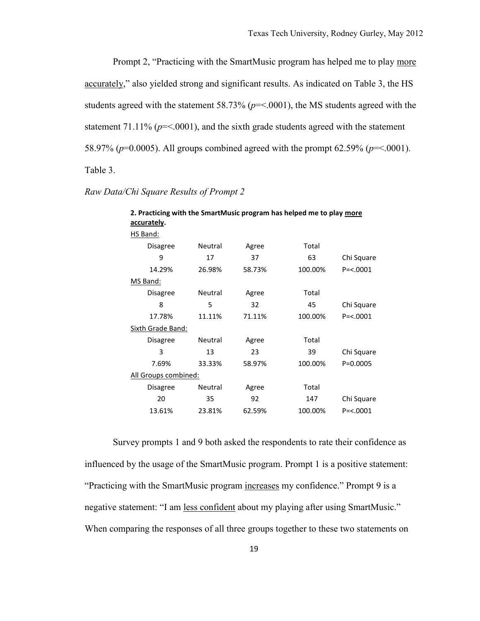Prompt 2, "Practicing with the SmartMusic program has helped me to play more accurately," also yielded strong and significant results. As indicated on Table 3, the HS students agreed with the statement 58.73% ( $p = 0.001$ ), the MS students agreed with the statement  $71.11\%$  ( $p = 0.0001$ ), and the sixth grade students agreed with the statement 58.97% (*p*=0.0005). All groups combined agreed with the prompt 62.59% (*p*=<.0001). Table 3.

| 2. Practicing with the SmartMusic program has helped me to play more<br>accurately. |         |        |         |               |  |  |
|-------------------------------------------------------------------------------------|---------|--------|---------|---------------|--|--|
| HS Band:                                                                            |         |        |         |               |  |  |
| <b>Disagree</b>                                                                     | Neutral | Agree  | Total   |               |  |  |
| 9                                                                                   | 17      | 37     | 63      | Chi Square    |  |  |
| 14.29%                                                                              | 26.98%  | 58.73% | 100.00% | $P = < 0001$  |  |  |
| MS Band:                                                                            |         |        |         |               |  |  |
| <b>Disagree</b>                                                                     | Neutral | Agree  | Total   |               |  |  |
| 8                                                                                   | 5       | 32     | 45      | Chi Square    |  |  |
| 17.78%                                                                              | 11.11%  | 71.11% | 100.00% | $P = < .0001$ |  |  |
| <b>Sixth Grade Band:</b>                                                            |         |        |         |               |  |  |
| <b>Disagree</b>                                                                     | Neutral | Agree  | Total   |               |  |  |
| 3                                                                                   | 13      | 23     | 39      | Chi Square    |  |  |
| 7.69%                                                                               | 33.33%  | 58.97% | 100.00% | $P = 0.0005$  |  |  |
| All Groups combined:                                                                |         |        |         |               |  |  |
| Disagree                                                                            | Neutral | Agree  | Total   |               |  |  |
| 20                                                                                  | 35      | 92     | 147     | Chi Square    |  |  |
| 13.61%                                                                              | 23.81%  | 62.59% | 100.00% | $P = < .0001$ |  |  |

*Raw Data/Chi Square Results of Prompt 2*

Survey prompts 1 and 9 both asked the respondents to rate their confidence as influenced by the usage of the SmartMusic program. Prompt 1 is a positive statement: "Practicing with the SmartMusic program increases my confidence." Prompt 9 is a negative statement: "I am less confident about my playing after using SmartMusic." When comparing the responses of all three groups together to these two statements on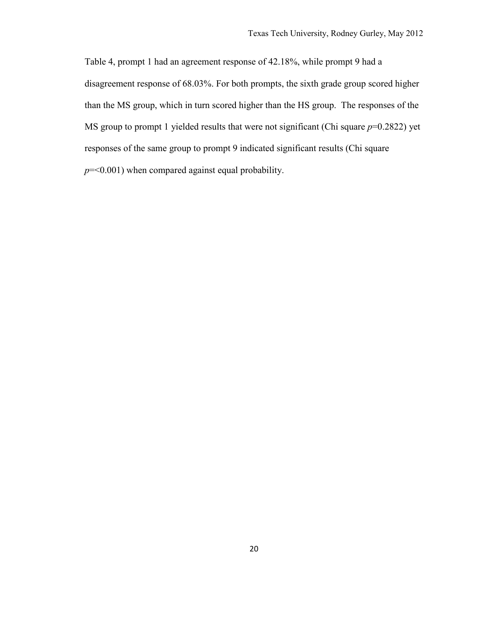Table 4, prompt 1 had an agreement response of 42.18%, while prompt 9 had a disagreement response of 68.03%. For both prompts, the sixth grade group scored higher than the MS group, which in turn scored higher than the HS group. The responses of the MS group to prompt 1 yielded results that were not significant (Chi square *p*=0.2822) yet responses of the same group to prompt 9 indicated significant results (Chi square *p*=<0.001) when compared against equal probability.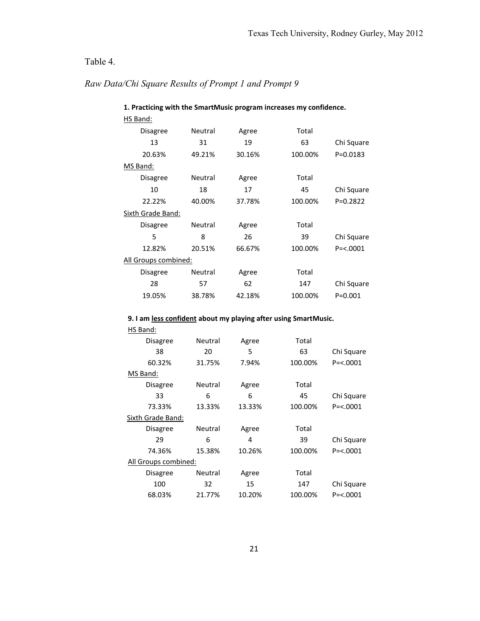# Table 4.

# *Raw Data/Chi Square Results of Prompt 1 and Prompt 9*

| 1. Practicing with the SmartMusic program increases my confidence. |                |        |         |               |  |  |
|--------------------------------------------------------------------|----------------|--------|---------|---------------|--|--|
| HS Band:                                                           |                |        |         |               |  |  |
| Disagree                                                           | <b>Neutral</b> | Agree  | Total   |               |  |  |
| 13                                                                 | 31             | 19     | 63      | Chi Square    |  |  |
| 20.63%                                                             | 49.21%         | 30.16% | 100.00% | $P = 0.0183$  |  |  |
| MS Band:                                                           |                |        |         |               |  |  |
| Disagree                                                           | Neutral        | Agree  | Total   |               |  |  |
| 10                                                                 | 18             | 17     | 45      | Chi Square    |  |  |
| 22.22%                                                             | 40.00%         | 37.78% | 100.00% | $P=0.2822$    |  |  |
| Sixth Grade Band:                                                  |                |        |         |               |  |  |
| <b>Disagree</b>                                                    | Neutral        | Agree  | Total   |               |  |  |
| 5                                                                  | 8              | 26     | 39      | Chi Square    |  |  |
| 12.82%                                                             | 20.51%         | 66.67% | 100.00% | $P = < .0001$ |  |  |
| <u>All Groups combined:</u>                                        |                |        |         |               |  |  |
| Disagree                                                           | Neutral        | Agree  | Total   |               |  |  |
| 28                                                                 | 57             | 62     | 147     | Chi Square    |  |  |
| 19.05%                                                             | 38.78%         | 42.18% | 100.00% | $P = 0.001$   |  |  |

#### **9. I am less confident about my playing after using SmartMusic.**

| HS Band:                    |                |        |         |               |  |
|-----------------------------|----------------|--------|---------|---------------|--|
| Disagree                    | <b>Neutral</b> | Agree  | Total   |               |  |
| 38                          | 20             | 5      | 63      | Chi Square    |  |
| 60.32%                      | 31.75%         | 7.94%  | 100.00% | $P = < 0001$  |  |
| MS Band:                    |                |        |         |               |  |
| <b>Disagree</b>             | Neutral        | Agree  | Total   |               |  |
| 33                          | 6              | 6      | 45      | Chi Square    |  |
| 73.33%                      | 13.33%         | 13.33% | 100.00% | $P = < 0.001$ |  |
| Sixth Grade Band:           |                |        |         |               |  |
| Disagree                    | <b>Neutral</b> | Agree  | Total   |               |  |
| 29                          | 6              | 4      | 39      | Chi Square    |  |
| 74.36%                      | 15.38%         | 10.26% | 100.00% | $P = < 0001$  |  |
| <u>All Groups combined:</u> |                |        |         |               |  |
| Disagree                    | Neutral        | Agree  | Total   |               |  |
| 100                         | 32             | 15     | 147     | Chi Square    |  |
| 68.03%                      | 21.77%         | 10.20% | 100.00% | $P = < 0001$  |  |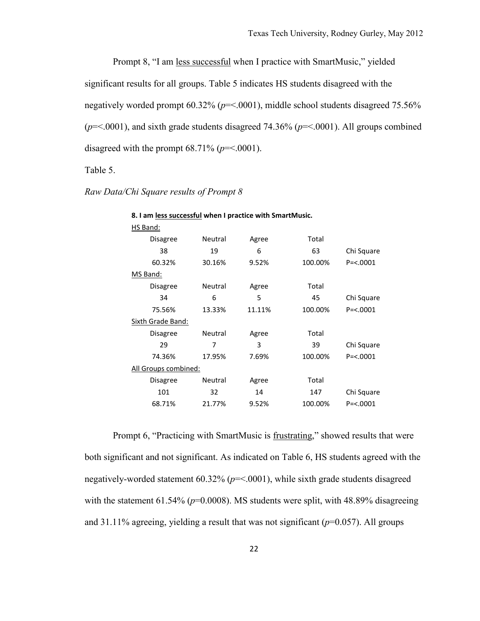Prompt 8, "I am less successful when I practice with SmartMusic," yielded significant results for all groups. Table 5 indicates HS students disagreed with the negatively worded prompt 60.32% (*p*=<.0001), middle school students disagreed 75.56% (*p*=<.0001), and sixth grade students disagreed 74.36% (*p*=<.0001). All groups combined disagreed with the prompt  $68.71\%$  ( $p = < .0001$ ).

Table 5.

| HS Band:          |         |                             |         |                                                          |
|-------------------|---------|-----------------------------|---------|----------------------------------------------------------|
| Disagree          | Neutral | Agree                       | Total   |                                                          |
| 38                | 19      | 6                           | 63      | Chi Square                                               |
| 60.32%            | 30.16%  | 9.52%                       | 100.00% | $P = < .0001$                                            |
| MS Band:          |         |                             |         |                                                          |
| Disagree          | Neutral | Agree                       | Total   |                                                          |
| 34                | 6       | 5                           | 45      | Chi Square                                               |
| 75.56%            | 13.33%  | 11.11%                      | 100.00% | $P = < .0001$                                            |
| Sixth Grade Band: |         |                             |         |                                                          |
| <b>Disagree</b>   | Neutral | Agree                       | Total   |                                                          |
| 29                | 7       | 3                           | 39      | Chi Square                                               |
| 74.36%            | 17.95%  | 7.69%                       | 100.00% | $P = < .0001$                                            |
|                   |         |                             |         |                                                          |
| Disagree          | Neutral | Agree                       | Total   |                                                          |
| 101               | 32      | 14                          | 147     | Chi Square                                               |
| 68.71%            | 21.77%  | 9.52%                       | 100.00% | $P = < 0001$                                             |
|                   |         | <u>All Groups combined:</u> |         | 8. I am less successful when I practice with SmartMusic. |

*Raw Data/Chi Square results of Prompt 8*

Prompt 6, "Practicing with SmartMusic is frustrating," showed results that were both significant and not significant. As indicated on Table 6, HS students agreed with the negatively-worded statement 60.32% (*p*=<.0001), while sixth grade students disagreed with the statement  $61.54\%$  ( $p=0.0008$ ). MS students were split, with  $48.89\%$  disagreeing and 31.11% agreeing, yielding a result that was not significant (*p*=0.057). All groups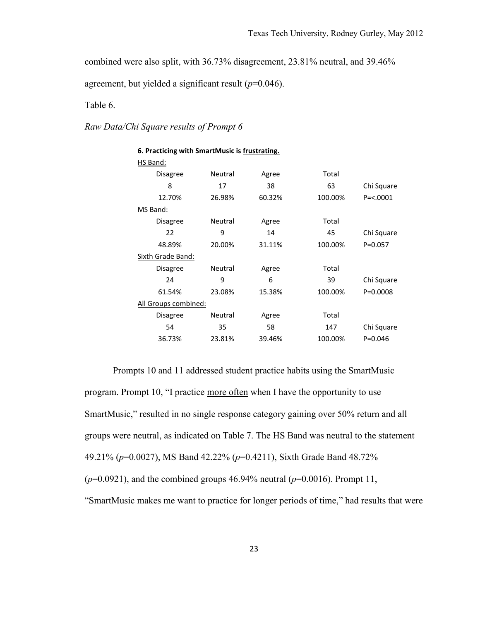combined were also split, with 36.73% disagreement, 23.81% neutral, and 39.46%

agreement, but yielded a significant result (*p*=0.046).

Table 6.

#### *Raw Data/Chi Square results of Prompt 6*

| 6. Practicing with SmartMusic is frustrating. |         |        |         |              |  |  |
|-----------------------------------------------|---------|--------|---------|--------------|--|--|
| HS Band:                                      |         |        |         |              |  |  |
| <b>Disagree</b>                               | Neutral | Agree  | Total   |              |  |  |
| 8                                             | 17      | 38     | 63      | Chi Square   |  |  |
| 12.70%                                        | 26.98%  | 60.32% | 100.00% | $P = < 0001$ |  |  |
| MS Band:                                      |         |        |         |              |  |  |
| <b>Disagree</b>                               | Neutral | Agree  | Total   |              |  |  |
| 22                                            | 9       | 14     | 45      | Chi Square   |  |  |
| 48.89%                                        | 20.00%  | 31.11% | 100.00% | $P = 0.057$  |  |  |
| Sixth Grade Band:                             |         |        |         |              |  |  |
| <b>Disagree</b>                               | Neutral | Agree  | Total   |              |  |  |
| 24                                            | 9       | 6      | 39      | Chi Square   |  |  |
| 61.54%                                        | 23.08%  | 15.38% | 100.00% | $P = 0.0008$ |  |  |
| All Groups combined:                          |         |        |         |              |  |  |
| <b>Disagree</b>                               | Neutral | Agree  | Total   |              |  |  |
| 54                                            | 35      | 58     | 147     | Chi Square   |  |  |
| 36.73%                                        | 23.81%  | 39.46% | 100.00% | $P = 0.046$  |  |  |

Prompts 10 and 11 addressed student practice habits using the SmartMusic program. Prompt 10, "I practice more often when I have the opportunity to use SmartMusic," resulted in no single response category gaining over 50% return and all groups were neutral, as indicated on Table 7. The HS Band was neutral to the statement 49.21% (*p*=0.0027), MS Band 42.22% (*p*=0.4211), Sixth Grade Band 48.72% (*p*=0.0921), and the combined groups 46.94% neutral (*p*=0.0016). Prompt 11, "SmartMusic makes me want to practice for longer periods of time," had results that were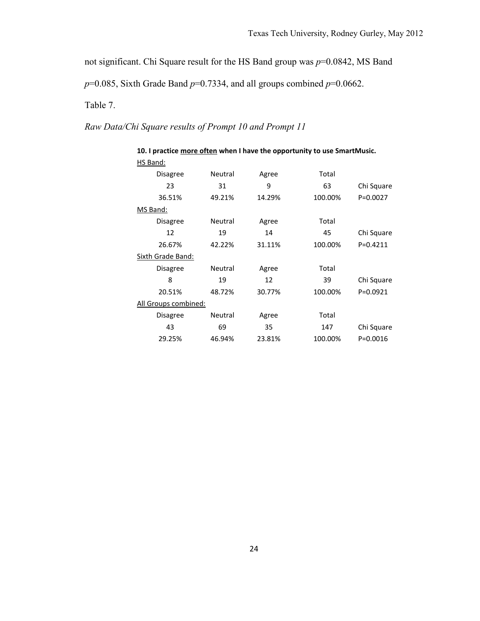not significant. Chi Square result for the HS Band group was *p*=0.0842, MS Band

 $p=0.085$ , Sixth Grade Band  $p=0.7334$ , and all groups combined  $p=0.0662$ .

Table 7.

*Raw Data/Chi Square results of Prompt 10 and Prompt 11*

| HS Band:             |         |        |         |              |  |  |  |
|----------------------|---------|--------|---------|--------------|--|--|--|
| <b>Disagree</b>      | Neutral | Agree  | Total   |              |  |  |  |
| 23                   | 31      | 9      | 63      | Chi Square   |  |  |  |
| 36.51%               | 49.21%  | 14.29% | 100.00% | $P = 0.0027$ |  |  |  |
| MS Band:             |         |        |         |              |  |  |  |
| <b>Disagree</b>      | Neutral | Agree  | Total   |              |  |  |  |
| 12                   | 19      | 14     | 45      | Chi Square   |  |  |  |
| 26.67%               | 42.22%  | 31.11% | 100.00% | $P=0.4211$   |  |  |  |
| Sixth Grade Band:    |         |        |         |              |  |  |  |
| <b>Disagree</b>      | Neutral | Agree  | Total   |              |  |  |  |
| 8                    | 19      | 12     | 39      | Chi Square   |  |  |  |
| 20.51%               | 48.72%  | 30.77% | 100.00% | $P = 0.0921$ |  |  |  |
| All Groups combined: |         |        |         |              |  |  |  |
| Disagree             | Neutral | Agree  | Total   |              |  |  |  |
| 43                   | 69      | 35     | 147     | Chi Square   |  |  |  |
| 29.25%               | 46.94%  | 23.81% | 100.00% | $P = 0.0016$ |  |  |  |

**10. I practice more often when I have the opportunity to use SmartMusic.**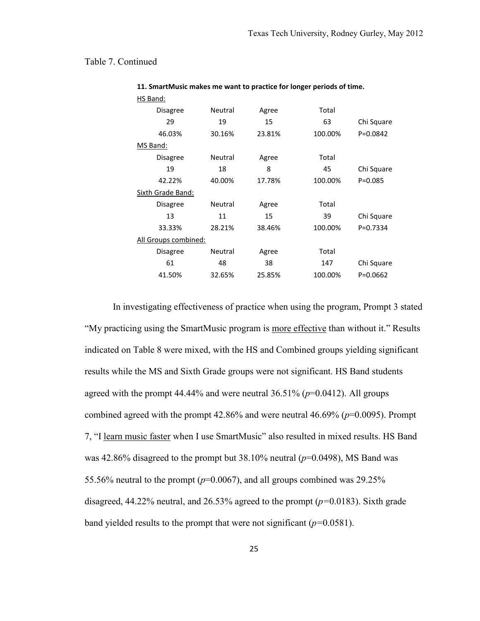#### Table 7. Continued

| HS Band:             |         |        |         |              |
|----------------------|---------|--------|---------|--------------|
| <b>Disagree</b>      | Neutral | Agree  | Total   |              |
| 29                   | 19      | 15     | 63      | Chi Square   |
| 46.03%               | 30.16%  | 23.81% | 100.00% | $P = 0.0842$ |
| MS Band:             |         |        |         |              |
| <b>Disagree</b>      | Neutral | Agree  | Total   |              |
| 19                   | 18      | 8      | 45      | Chi Square   |
| 42.22%               | 40.00%  | 17.78% | 100.00% | $P = 0.085$  |
| Sixth Grade Band:    |         |        |         |              |
| <b>Disagree</b>      | Neutral | Agree  | Total   |              |
| 13                   | 11      | 15     | 39      | Chi Square   |
| 33.33%               | 28.21%  | 38.46% | 100.00% | $P = 0.7334$ |
| All Groups combined: |         |        |         |              |
| <b>Disagree</b>      | Neutral | Agree  | Total   |              |
| 61                   | 48      | 38     | 147     | Chi Square   |
| 41.50%               | 32.65%  | 25.85% | 100.00% | $P = 0.0662$ |
|                      |         |        |         |              |

#### **11. SmartMusic makes me want to practice for longer periods of time.** HS Band:

In investigating effectiveness of practice when using the program, Prompt 3 stated "My practicing using the SmartMusic program is more effective than without it." Results indicated on Table 8 were mixed, with the HS and Combined groups yielding significant results while the MS and Sixth Grade groups were not significant. HS Band students agreed with the prompt  $44.44\%$  and were neutral  $36.51\%$  ( $p=0.0412$ ). All groups combined agreed with the prompt 42.86% and were neutral 46.69% (*p*=0.0095). Prompt 7, "I learn music faster when I use SmartMusic" also resulted in mixed results. HS Band was 42.86% disagreed to the prompt but 38.10% neutral (*p*=0.0498), MS Band was 55.56% neutral to the prompt ( $p=0.0067$ ), and all groups combined was 29.25% disagreed, 44.22% neutral, and 26.53% agreed to the prompt (*p=*0.0183). Sixth grade band yielded results to the prompt that were not significant (*p=*0.0581).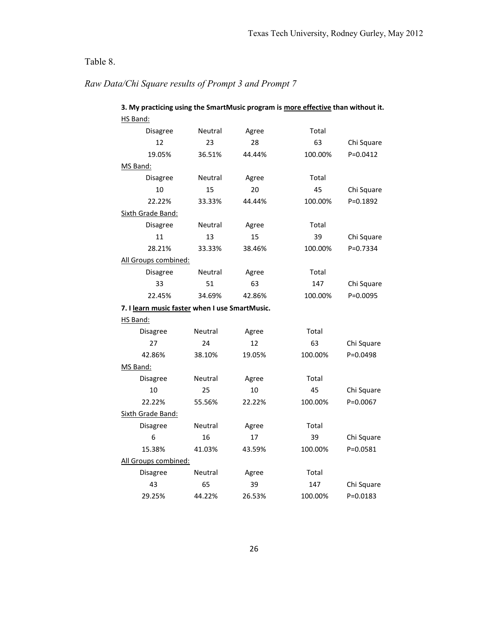# Table 8.

# *Raw Data/Chi Square results of Prompt 3 and Prompt 7*

| 3. My practicing using the SmartMusic program is more effective than without it.<br>HS Band: |         |        |         |              |
|----------------------------------------------------------------------------------------------|---------|--------|---------|--------------|
| Disagree                                                                                     | Neutral | Agree  | Total   |              |
| 12                                                                                           | 23      | 28     | 63      | Chi Square   |
| 19.05%                                                                                       | 36.51%  | 44.44% | 100.00% | $P = 0.0412$ |
| MS Band:                                                                                     |         |        |         |              |
| Disagree                                                                                     | Neutral | Agree  | Total   |              |
| 10                                                                                           | 15      | 20     | 45      | Chi Square   |
| 22.22%                                                                                       | 33.33%  | 44.44% | 100.00% | P=0.1892     |
| Sixth Grade Band:                                                                            |         |        |         |              |
| Disagree                                                                                     | Neutral | Agree  | Total   |              |
| 11                                                                                           | 13      | 15     | 39      | Chi Square   |
| 28.21%                                                                                       | 33.33%  | 38.46% | 100.00% | $P = 0.7334$ |
| All Groups combined:                                                                         |         |        |         |              |
| Disagree                                                                                     | Neutral | Agree  | Total   |              |
| 33                                                                                           | 51      | 63     | 147     | Chi Square   |
| 22.45%                                                                                       | 34.69%  | 42.86% | 100.00% | P=0.0095     |
| 7. I learn music faster when I use SmartMusic.                                               |         |        |         |              |
| HS Band:                                                                                     |         |        |         |              |
| Disagree                                                                                     | Neutral | Agree  | Total   |              |
| 27                                                                                           | 24      |        |         |              |
|                                                                                              |         | 12     | 63      | Chi Square   |
| 42.86%                                                                                       | 38.10%  | 19.05% | 100.00% | P=0.0498     |
| MS Band:                                                                                     |         |        |         |              |
| Disagree                                                                                     | Neutral | Agree  | Total   |              |
| 10                                                                                           | 25      | 10     | 45      | Chi Square   |
| 22.22%                                                                                       | 55.56%  | 22.22% | 100.00% | P=0.0067     |
| Sixth Grade Band:                                                                            |         |        |         |              |
| Disagree                                                                                     | Neutral | Agree  | Total   |              |
| 6                                                                                            | 16      | 17     | 39      | Chi Square   |
| 15.38%                                                                                       | 41.03%  | 43.59% | 100.00% | P=0.0581     |
| All Groups combined:                                                                         |         |        |         |              |
| Disagree                                                                                     | Neutral | Agree  | Total   |              |
| 43                                                                                           | 65      | 39     | 147     | Chi Square   |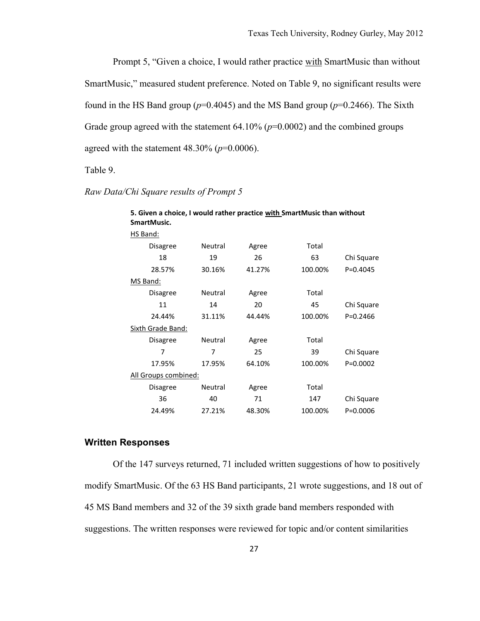Prompt 5, "Given a choice, I would rather practice with SmartMusic than without SmartMusic," measured student preference. Noted on Table 9, no significant results were found in the HS Band group ( $p=0.4045$ ) and the MS Band group ( $p=0.2466$ ). The Sixth Grade group agreed with the statement 64.10% ( $p=0.0002$ ) and the combined groups agreed with the statement 48.30% (*p*=0.0006).

Table 9.

| 5. Given a choice, I would rather practice with SmartMusic than without<br>SmartMusic. |         |        |         |              |
|----------------------------------------------------------------------------------------|---------|--------|---------|--------------|
| HS Band:                                                                               |         |        |         |              |
| <b>Disagree</b>                                                                        | Neutral | Agree  | Total   |              |
| 18                                                                                     | 19      | 26     | 63      | Chi Square   |
| 28.57%                                                                                 | 30.16%  | 41.27% | 100.00% | $P = 0.4045$ |
| MS Band:                                                                               |         |        |         |              |
| Disagree                                                                               | Neutral | Agree  | Total   |              |
| 11                                                                                     | 14      | 20     | 45      | Chi Square   |
| 24.44%                                                                                 | 31.11%  | 44.44% | 100.00% | $P = 0.2466$ |
| Sixth Grade Band:                                                                      |         |        |         |              |
| <b>Disagree</b>                                                                        | Neutral | Agree  | Total   |              |
| 7                                                                                      | 7       | 25     | 39      | Chi Square   |
| 17.95%                                                                                 | 17.95%  | 64.10% | 100.00% | $P = 0.0002$ |
| All Groups combined:                                                                   |         |        |         |              |
| <b>Disagree</b>                                                                        | Neutral | Agree  | Total   |              |
| 36                                                                                     | 40      | 71     | 147     | Chi Square   |
| 24.49%                                                                                 | 27.21%  | 48.30% | 100.00% | $P = 0.0006$ |

*Raw Data/Chi Square results of Prompt 5*

#### <span id="page-32-0"></span>**Written Responses**

Of the 147 surveys returned, 71 included written suggestions of how to positively modify SmartMusic. Of the 63 HS Band participants, 21 wrote suggestions, and 18 out of 45 MS Band members and 32 of the 39 sixth grade band members responded with suggestions. The written responses were reviewed for topic and/or content similarities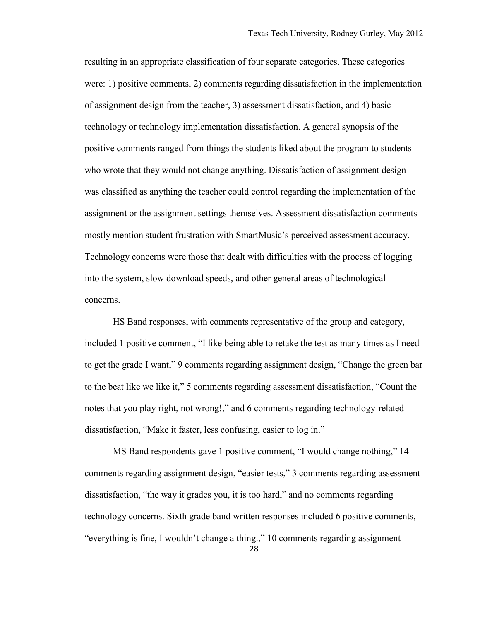resulting in an appropriate classification of four separate categories. These categories were: 1) positive comments, 2) comments regarding dissatisfaction in the implementation of assignment design from the teacher, 3) assessment dissatisfaction, and 4) basic technology or technology implementation dissatisfaction. A general synopsis of the positive comments ranged from things the students liked about the program to students who wrote that they would not change anything. Dissatisfaction of assignment design was classified as anything the teacher could control regarding the implementation of the assignment or the assignment settings themselves. Assessment dissatisfaction comments mostly mention student frustration with SmartMusic's perceived assessment accuracy. Technology concerns were those that dealt with difficulties with the process of logging into the system, slow download speeds, and other general areas of technological concerns.

HS Band responses, with comments representative of the group and category, included 1 positive comment, "I like being able to retake the test as many times as I need to get the grade I want," 9 comments regarding assignment design, "Change the green bar to the beat like we like it," 5 comments regarding assessment dissatisfaction, "Count the notes that you play right, not wrong!," and 6 comments regarding technology-related dissatisfaction, "Make it faster, less confusing, easier to log in."

MS Band respondents gave 1 positive comment, "I would change nothing," 14 comments regarding assignment design, "easier tests," 3 comments regarding assessment dissatisfaction, "the way it grades you, it is too hard," and no comments regarding technology concerns. Sixth grade band written responses included 6 positive comments, "everything is fine, I wouldn't change a thing.," 10 comments regarding assignment

28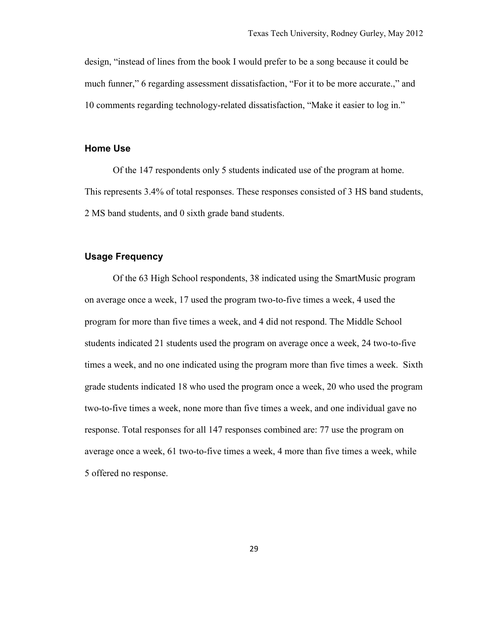design, "instead of lines from the book I would prefer to be a song because it could be much funner," 6 regarding assessment dissatisfaction, "For it to be more accurate.," and 10 comments regarding technology-related dissatisfaction, "Make it easier to log in."

#### <span id="page-34-0"></span>**Home Use**

Of the 147 respondents only 5 students indicated use of the program at home. This represents 3.4% of total responses. These responses consisted of 3 HS band students, 2 MS band students, and 0 sixth grade band students.

#### <span id="page-34-1"></span>**Usage Frequency**

Of the 63 High School respondents, 38 indicated using the SmartMusic program on average once a week, 17 used the program two-to-five times a week, 4 used the program for more than five times a week, and 4 did not respond. The Middle School students indicated 21 students used the program on average once a week, 24 two-to-five times a week, and no one indicated using the program more than five times a week. Sixth grade students indicated 18 who used the program once a week, 20 who used the program two-to-five times a week, none more than five times a week, and one individual gave no response. Total responses for all 147 responses combined are: 77 use the program on average once a week, 61 two-to-five times a week, 4 more than five times a week, while 5 offered no response.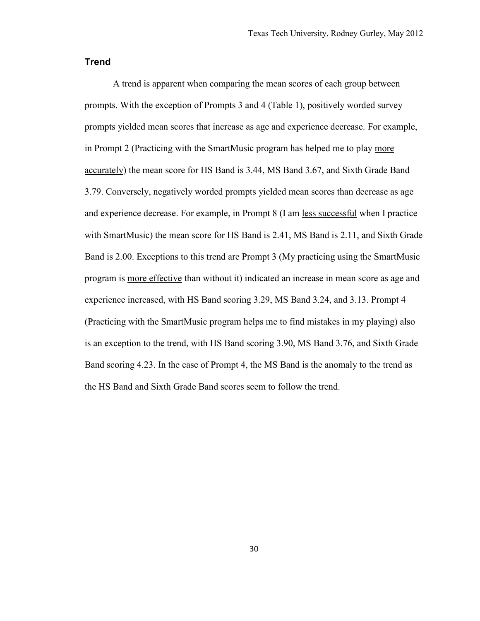#### <span id="page-35-0"></span>**Trend**

A trend is apparent when comparing the mean scores of each group between prompts. With the exception of Prompts 3 and 4 (Table 1), positively worded survey prompts yielded mean scores that increase as age and experience decrease. For example, in Prompt 2 (Practicing with the SmartMusic program has helped me to play more accurately) the mean score for HS Band is 3.44, MS Band 3.67, and Sixth Grade Band 3.79. Conversely, negatively worded prompts yielded mean scores than decrease as age and experience decrease. For example, in Prompt 8 (I am less successful when I practice with SmartMusic) the mean score for HS Band is 2.41, MS Band is 2.11, and Sixth Grade Band is 2.00. Exceptions to this trend are Prompt 3 (My practicing using the SmartMusic program is more effective than without it) indicated an increase in mean score as age and experience increased, with HS Band scoring 3.29, MS Band 3.24, and 3.13. Prompt 4 (Practicing with the SmartMusic program helps me to find mistakes in my playing) also is an exception to the trend, with HS Band scoring 3.90, MS Band 3.76, and Sixth Grade Band scoring 4.23. In the case of Prompt 4, the MS Band is the anomaly to the trend as the HS Band and Sixth Grade Band scores seem to follow the trend.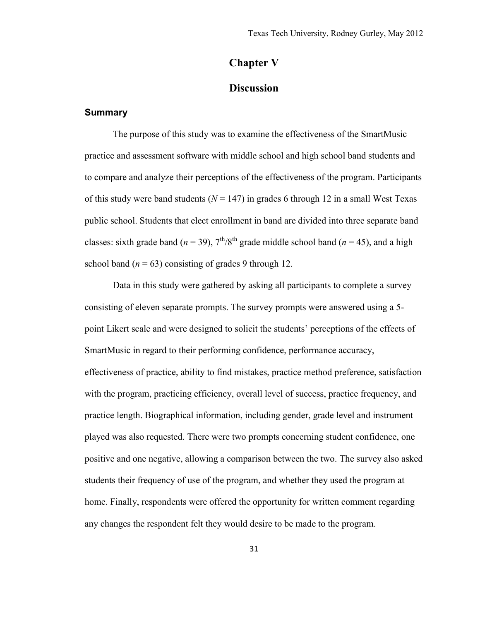# **Chapter V**

#### **Discussion**

#### <span id="page-36-1"></span><span id="page-36-0"></span>**Summary**

The purpose of this study was to examine the effectiveness of the SmartMusic practice and assessment software with middle school and high school band students and to compare and analyze their perceptions of the effectiveness of the program. Participants of this study were band students ( $N = 147$ ) in grades 6 through 12 in a small West Texas public school. Students that elect enrollment in band are divided into three separate band classes: sixth grade band ( $n = 39$ ),  $7<sup>th</sup>/8<sup>th</sup>$  grade middle school band ( $n = 45$ ), and a high school band  $(n = 63)$  consisting of grades 9 through 12.

Data in this study were gathered by asking all participants to complete a survey consisting of eleven separate prompts. The survey prompts were answered using a 5 point Likert scale and were designed to solicit the students' perceptions of the effects of SmartMusic in regard to their performing confidence, performance accuracy, effectiveness of practice, ability to find mistakes, practice method preference, satisfaction with the program, practicing efficiency, overall level of success, practice frequency, and practice length. Biographical information, including gender, grade level and instrument played was also requested. There were two prompts concerning student confidence, one positive and one negative, allowing a comparison between the two. The survey also asked students their frequency of use of the program, and whether they used the program at home. Finally, respondents were offered the opportunity for written comment regarding any changes the respondent felt they would desire to be made to the program.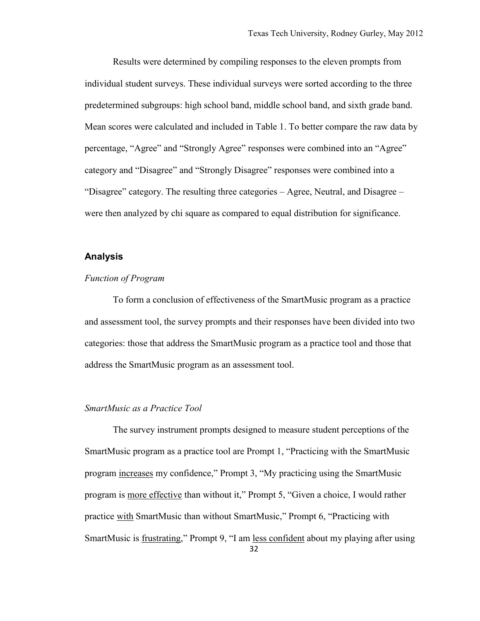Results were determined by compiling responses to the eleven prompts from individual student surveys. These individual surveys were sorted according to the three predetermined subgroups: high school band, middle school band, and sixth grade band. Mean scores were calculated and included in Table 1. To better compare the raw data by percentage, "Agree" and "Strongly Agree" responses were combined into an "Agree" category and "Disagree" and "Strongly Disagree" responses were combined into a "Disagree" category. The resulting three categories – Agree, Neutral, and Disagree – were then analyzed by chi square as compared to equal distribution for significance.

#### <span id="page-37-0"></span>**Analysis**

#### <span id="page-37-1"></span>*Function of Program*

To form a conclusion of effectiveness of the SmartMusic program as a practice and assessment tool, the survey prompts and their responses have been divided into two categories: those that address the SmartMusic program as a practice tool and those that address the SmartMusic program as an assessment tool.

#### <span id="page-37-2"></span>*SmartMusic as a Practice Tool*

The survey instrument prompts designed to measure student perceptions of the SmartMusic program as a practice tool are Prompt 1, "Practicing with the SmartMusic program increases my confidence," Prompt 3, "My practicing using the SmartMusic program is more effective than without it," Prompt 5, "Given a choice, I would rather practice with SmartMusic than without SmartMusic," Prompt 6, "Practicing with SmartMusic is frustrating," Prompt 9, "I am less confident about my playing after using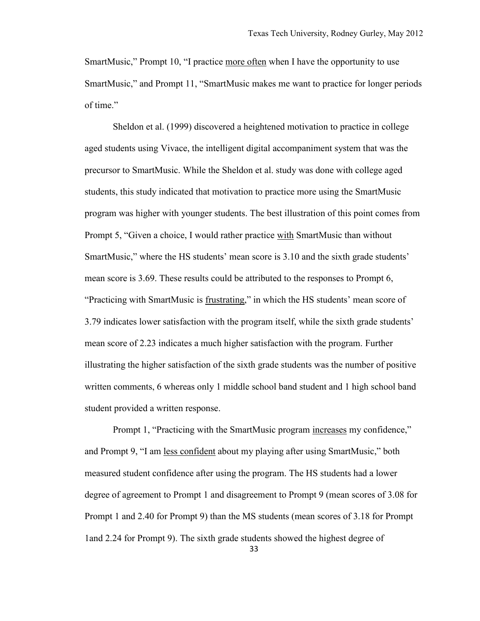SmartMusic," Prompt 10, "I practice more often when I have the opportunity to use SmartMusic," and Prompt 11, "SmartMusic makes me want to practice for longer periods of time."

Sheldon et al. (1999) discovered a heightened motivation to practice in college aged students using Vivace, the intelligent digital accompaniment system that was the precursor to SmartMusic. While the Sheldon et al. study was done with college aged students, this study indicated that motivation to practice more using the SmartMusic program was higher with younger students. The best illustration of this point comes from Prompt 5, "Given a choice, I would rather practice with SmartMusic than without SmartMusic," where the HS students' mean score is 3.10 and the sixth grade students' mean score is 3.69. These results could be attributed to the responses to Prompt 6, "Practicing with SmartMusic is frustrating," in which the HS students' mean score of 3.79 indicates lower satisfaction with the program itself, while the sixth grade students' mean score of 2.23 indicates a much higher satisfaction with the program. Further illustrating the higher satisfaction of the sixth grade students was the number of positive written comments, 6 whereas only 1 middle school band student and 1 high school band student provided a written response.

Prompt 1, "Practicing with the SmartMusic program increases my confidence," and Prompt 9, "I am less confident about my playing after using SmartMusic," both measured student confidence after using the program. The HS students had a lower degree of agreement to Prompt 1 and disagreement to Prompt 9 (mean scores of 3.08 for Prompt 1 and 2.40 for Prompt 9) than the MS students (mean scores of 3.18 for Prompt 1and 2.24 for Prompt 9). The sixth grade students showed the highest degree of

33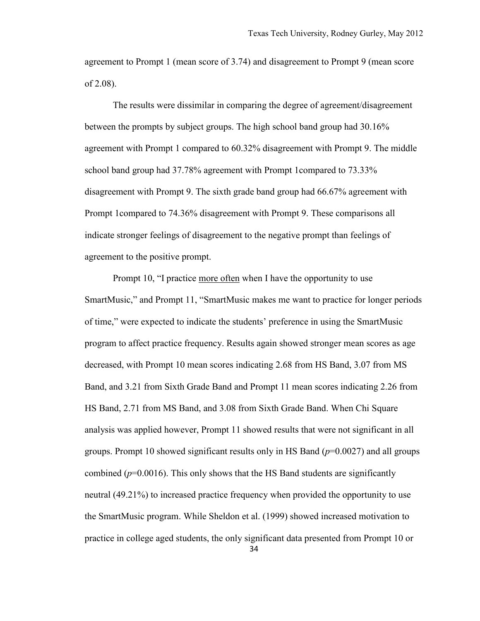agreement to Prompt 1 (mean score of 3.74) and disagreement to Prompt 9 (mean score of 2.08).

The results were dissimilar in comparing the degree of agreement/disagreement between the prompts by subject groups. The high school band group had 30.16% agreement with Prompt 1 compared to 60.32% disagreement with Prompt 9. The middle school band group had 37.78% agreement with Prompt 1compared to 73.33% disagreement with Prompt 9. The sixth grade band group had 66.67% agreement with Prompt 1compared to 74.36% disagreement with Prompt 9. These comparisons all indicate stronger feelings of disagreement to the negative prompt than feelings of agreement to the positive prompt.

Prompt 10, "I practice more often when I have the opportunity to use SmartMusic," and Prompt 11, "SmartMusic makes me want to practice for longer periods of time," were expected to indicate the students' preference in using the SmartMusic program to affect practice frequency. Results again showed stronger mean scores as age decreased, with Prompt 10 mean scores indicating 2.68 from HS Band, 3.07 from MS Band, and 3.21 from Sixth Grade Band and Prompt 11 mean scores indicating 2.26 from HS Band, 2.71 from MS Band, and 3.08 from Sixth Grade Band. When Chi Square analysis was applied however, Prompt 11 showed results that were not significant in all groups. Prompt 10 showed significant results only in HS Band (*p*=0.0027) and all groups combined  $(p=0.0016)$ . This only shows that the HS Band students are significantly neutral (49.21%) to increased practice frequency when provided the opportunity to use the SmartMusic program. While Sheldon et al. (1999) showed increased motivation to practice in college aged students, the only significant data presented from Prompt 10 or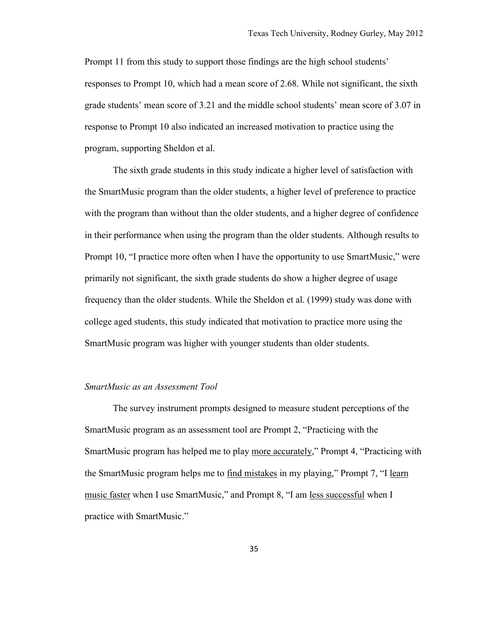Prompt 11 from this study to support those findings are the high school students' responses to Prompt 10, which had a mean score of 2.68. While not significant, the sixth grade students' mean score of 3.21 and the middle school students' mean score of 3.07 in response to Prompt 10 also indicated an increased motivation to practice using the program, supporting Sheldon et al.

The sixth grade students in this study indicate a higher level of satisfaction with the SmartMusic program than the older students, a higher level of preference to practice with the program than without than the older students, and a higher degree of confidence in their performance when using the program than the older students. Although results to Prompt 10, "I practice more often when I have the opportunity to use SmartMusic," were primarily not significant, the sixth grade students do show a higher degree of usage frequency than the older students. While the Sheldon et al. (1999) study was done with college aged students, this study indicated that motivation to practice more using the SmartMusic program was higher with younger students than older students.

#### <span id="page-40-0"></span>*SmartMusic as an Assessment Tool*

The survey instrument prompts designed to measure student perceptions of the SmartMusic program as an assessment tool are Prompt 2, "Practicing with the SmartMusic program has helped me to play more accurately," Prompt 4, "Practicing with the SmartMusic program helps me to find mistakes in my playing," Prompt 7, "I learn music faster when I use SmartMusic," and Prompt 8, "I am less successful when I practice with SmartMusic."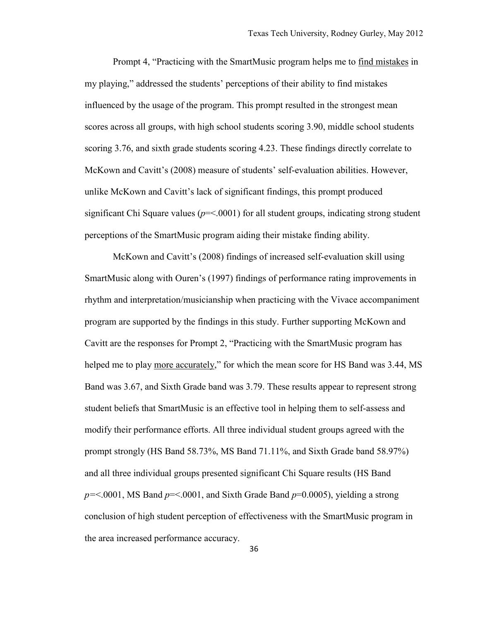Prompt 4, "Practicing with the SmartMusic program helps me to find mistakes in my playing," addressed the students' perceptions of their ability to find mistakes influenced by the usage of the program. This prompt resulted in the strongest mean scores across all groups, with high school students scoring 3.90, middle school students scoring 3.76, and sixth grade students scoring 4.23. These findings directly correlate to McKown and Cavitt's (2008) measure of students' self-evaluation abilities. However, unlike McKown and Cavitt's lack of significant findings, this prompt produced significant Chi Square values ( $p = 0001$ ) for all student groups, indicating strong student perceptions of the SmartMusic program aiding their mistake finding ability.

McKown and Cavitt's (2008) findings of increased self-evaluation skill using SmartMusic along with Ouren's (1997) findings of performance rating improvements in rhythm and interpretation/musicianship when practicing with the Vivace accompaniment program are supported by the findings in this study. Further supporting McKown and Cavitt are the responses for Prompt 2, "Practicing with the SmartMusic program has helped me to play more accurately," for which the mean score for HS Band was 3.44, MS Band was 3.67, and Sixth Grade band was 3.79. These results appear to represent strong student beliefs that SmartMusic is an effective tool in helping them to self-assess and modify their performance efforts. All three individual student groups agreed with the prompt strongly (HS Band 58.73%, MS Band 71.11%, and Sixth Grade band 58.97%) and all three individual groups presented significant Chi Square results (HS Band *p=*<.0001, MS Band *p*=<.0001, and Sixth Grade Band *p*=0.0005), yielding a strong conclusion of high student perception of effectiveness with the SmartMusic program in the area increased performance accuracy.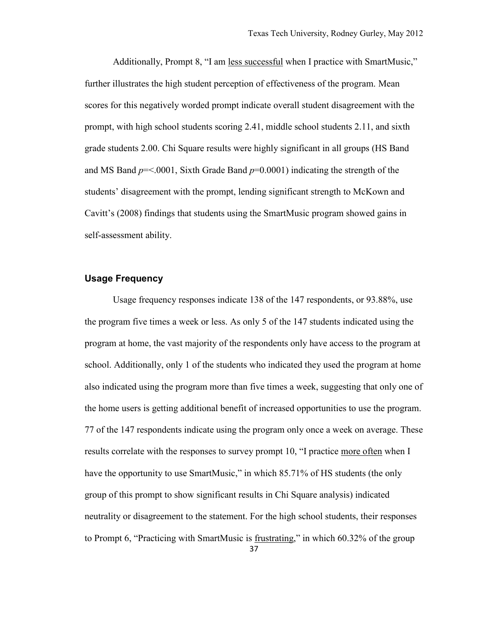Additionally, Prompt 8, "I am less successful when I practice with SmartMusic," further illustrates the high student perception of effectiveness of the program. Mean scores for this negatively worded prompt indicate overall student disagreement with the prompt, with high school students scoring 2.41, middle school students 2.11, and sixth grade students 2.00. Chi Square results were highly significant in all groups (HS Band and MS Band *p*=<.0001, Sixth Grade Band *p*=0.0001) indicating the strength of the students' disagreement with the prompt, lending significant strength to McKown and Cavitt's (2008) findings that students using the SmartMusic program showed gains in self-assessment ability.

#### <span id="page-42-0"></span>**Usage Frequency**

Usage frequency responses indicate 138 of the 147 respondents, or 93.88%, use the program five times a week or less. As only 5 of the 147 students indicated using the program at home, the vast majority of the respondents only have access to the program at school. Additionally, only 1 of the students who indicated they used the program at home also indicated using the program more than five times a week, suggesting that only one of the home users is getting additional benefit of increased opportunities to use the program. 77 of the 147 respondents indicate using the program only once a week on average. These results correlate with the responses to survey prompt 10, "I practice more often when I have the opportunity to use SmartMusic," in which 85.71% of HS students (the only group of this prompt to show significant results in Chi Square analysis) indicated neutrality or disagreement to the statement. For the high school students, their responses to Prompt 6, "Practicing with SmartMusic is frustrating," in which 60.32% of the group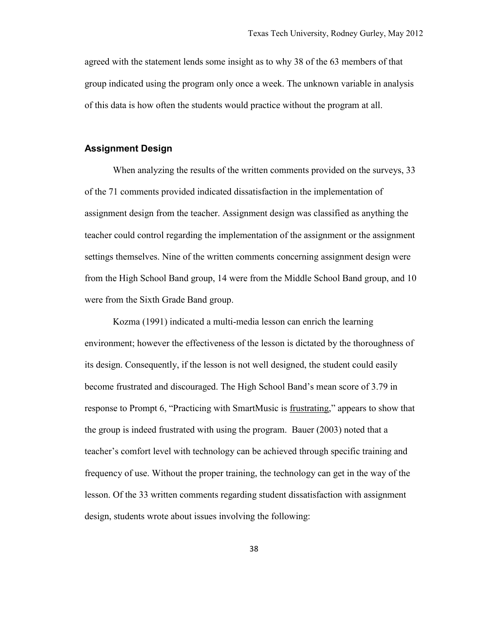agreed with the statement lends some insight as to why 38 of the 63 members of that group indicated using the program only once a week. The unknown variable in analysis of this data is how often the students would practice without the program at all.

#### <span id="page-43-0"></span>**Assignment Design**

When analyzing the results of the written comments provided on the surveys, 33 of the 71 comments provided indicated dissatisfaction in the implementation of assignment design from the teacher. Assignment design was classified as anything the teacher could control regarding the implementation of the assignment or the assignment settings themselves. Nine of the written comments concerning assignment design were from the High School Band group, 14 were from the Middle School Band group, and 10 were from the Sixth Grade Band group.

Kozma (1991) indicated a multi-media lesson can enrich the learning environment; however the effectiveness of the lesson is dictated by the thoroughness of its design. Consequently, if the lesson is not well designed, the student could easily become frustrated and discouraged. The High School Band's mean score of 3.79 in response to Prompt 6, "Practicing with SmartMusic is frustrating," appears to show that the group is indeed frustrated with using the program. Bauer (2003) noted that a teacher's comfort level with technology can be achieved through specific training and frequency of use. Without the proper training, the technology can get in the way of the lesson. Of the 33 written comments regarding student dissatisfaction with assignment design, students wrote about issues involving the following: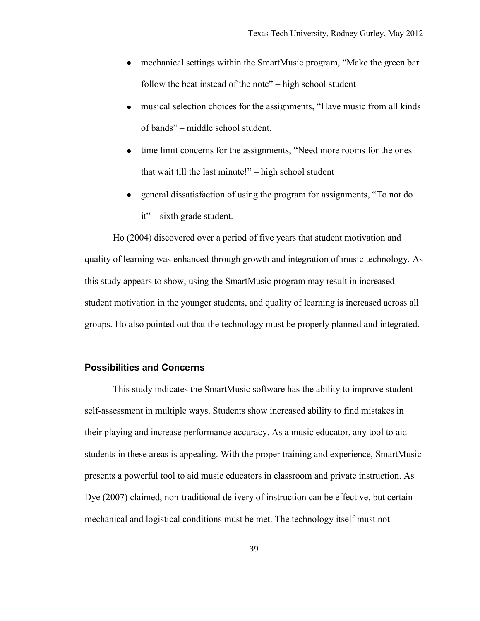- mechanical settings within the SmartMusic program, "Make the green bar follow the beat instead of the note" – high school student
- musical selection choices for the assignments, "Have music from all kinds of bands" – middle school student,
- time limit concerns for the assignments, "Need more rooms for the ones that wait till the last minute!" – high school student
- general dissatisfaction of using the program for assignments, "To not do it" – sixth grade student.

Ho (2004) discovered over a period of five years that student motivation and quality of learning was enhanced through growth and integration of music technology. As this study appears to show, using the SmartMusic program may result in increased student motivation in the younger students, and quality of learning is increased across all groups. Ho also pointed out that the technology must be properly planned and integrated.

#### <span id="page-44-0"></span>**Possibilities and Concerns**

This study indicates the SmartMusic software has the ability to improve student self-assessment in multiple ways. Students show increased ability to find mistakes in their playing and increase performance accuracy. As a music educator, any tool to aid students in these areas is appealing. With the proper training and experience, SmartMusic presents a powerful tool to aid music educators in classroom and private instruction. As Dye (2007) claimed, non-traditional delivery of instruction can be effective, but certain mechanical and logistical conditions must be met. The technology itself must not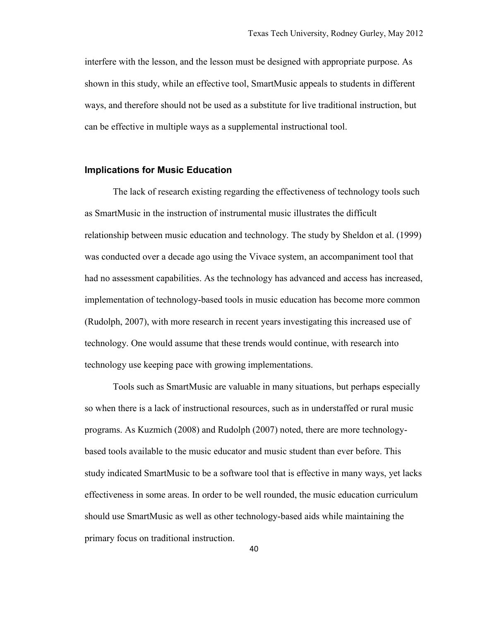interfere with the lesson, and the lesson must be designed with appropriate purpose. As shown in this study, while an effective tool, SmartMusic appeals to students in different ways, and therefore should not be used as a substitute for live traditional instruction, but can be effective in multiple ways as a supplemental instructional tool.

#### <span id="page-45-0"></span>**Implications for Music Education**

The lack of research existing regarding the effectiveness of technology tools such as SmartMusic in the instruction of instrumental music illustrates the difficult relationship between music education and technology. The study by Sheldon et al. (1999) was conducted over a decade ago using the Vivace system, an accompaniment tool that had no assessment capabilities. As the technology has advanced and access has increased, implementation of technology-based tools in music education has become more common (Rudolph, 2007), with more research in recent years investigating this increased use of technology. One would assume that these trends would continue, with research into technology use keeping pace with growing implementations.

Tools such as SmartMusic are valuable in many situations, but perhaps especially so when there is a lack of instructional resources, such as in understaffed or rural music programs. As Kuzmich (2008) and Rudolph (2007) noted, there are more technologybased tools available to the music educator and music student than ever before. This study indicated SmartMusic to be a software tool that is effective in many ways, yet lacks effectiveness in some areas. In order to be well rounded, the music education curriculum should use SmartMusic as well as other technology-based aids while maintaining the primary focus on traditional instruction.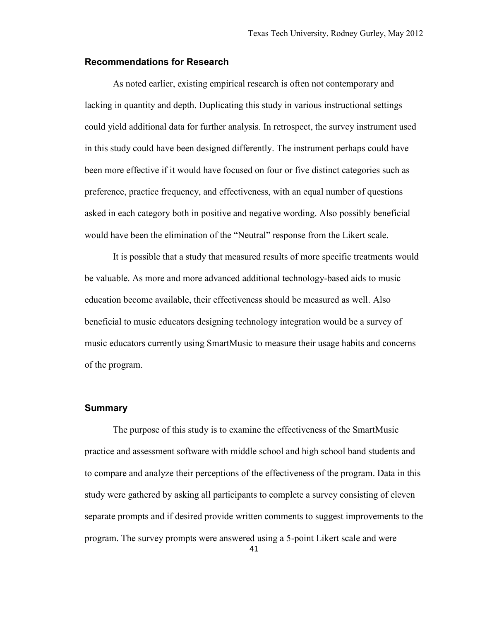#### <span id="page-46-0"></span>**Recommendations for Research**

As noted earlier, existing empirical research is often not contemporary and lacking in quantity and depth. Duplicating this study in various instructional settings could yield additional data for further analysis. In retrospect, the survey instrument used in this study could have been designed differently. The instrument perhaps could have been more effective if it would have focused on four or five distinct categories such as preference, practice frequency, and effectiveness, with an equal number of questions asked in each category both in positive and negative wording. Also possibly beneficial would have been the elimination of the "Neutral" response from the Likert scale.

It is possible that a study that measured results of more specific treatments would be valuable. As more and more advanced additional technology-based aids to music education become available, their effectiveness should be measured as well. Also beneficial to music educators designing technology integration would be a survey of music educators currently using SmartMusic to measure their usage habits and concerns of the program.

#### <span id="page-46-1"></span>**Summary**

The purpose of this study is to examine the effectiveness of the SmartMusic practice and assessment software with middle school and high school band students and to compare and analyze their perceptions of the effectiveness of the program. Data in this study were gathered by asking all participants to complete a survey consisting of eleven separate prompts and if desired provide written comments to suggest improvements to the program. The survey prompts were answered using a 5-point Likert scale and were

41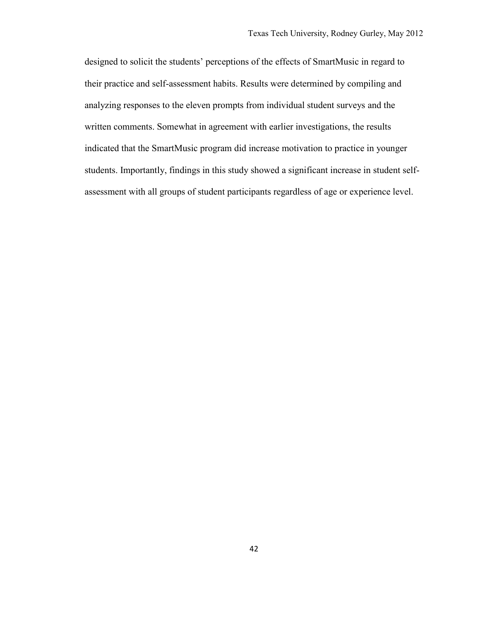designed to solicit the students' perceptions of the effects of SmartMusic in regard to their practice and self-assessment habits. Results were determined by compiling and analyzing responses to the eleven prompts from individual student surveys and the written comments. Somewhat in agreement with earlier investigations, the results indicated that the SmartMusic program did increase motivation to practice in younger students. Importantly, findings in this study showed a significant increase in student selfassessment with all groups of student participants regardless of age or experience level.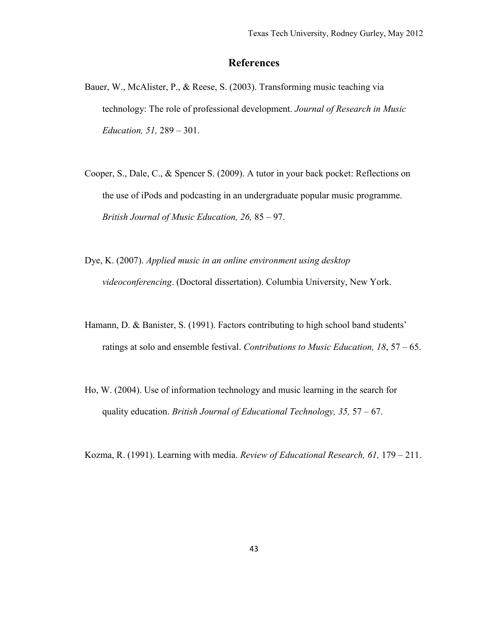# **References**

- <span id="page-48-0"></span>Bauer, W., McAlister, P., & Reese, S. (2003). Transforming music teaching via technology: The role of professional development. *Journal of Research in Music Education, 51,* 289 – 301.
- Cooper, S., Dale, C., & Spencer S. (2009). A tutor in your back pocket: Reflections on the use of iPods and podcasting in an undergraduate popular music programme. *British Journal of Music Education, 26,* 85 – 97.
- Dye, K. (2007). *Applied music in an online environment using desktop videoconferencing*. (Doctoral dissertation). Columbia University, New York.
- Hamann, D. & Banister, S. (1991). Factors contributing to high school band students' ratings at solo and ensemble festival. *Contributions to Music Education, 18*, 57 – 65.
- Ho, W. (2004). Use of information technology and music learning in the search for quality education. *British Journal of Educational Technology, 35,* 57 – 67.

Kozma, R. (1991). Learning with media. *Review of Educational Research, 61,* 179 – 211.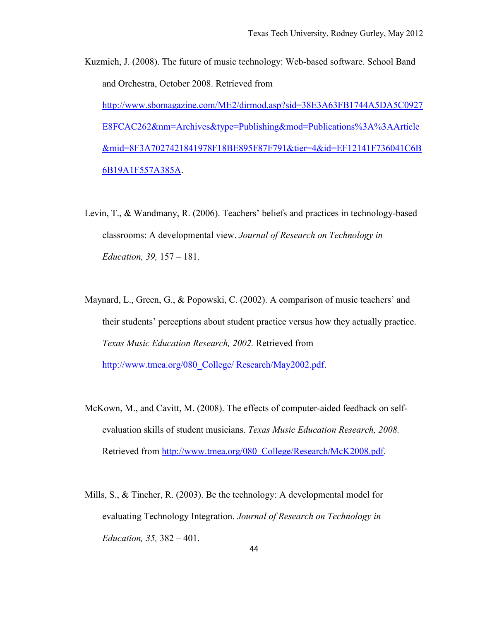- Kuzmich, J. (2008). The future of music technology: Web-based software. School Band and Orchestra, October 2008. Retrieved from [http://www.sbomagazine.com/ME2/dirmod.asp?sid=38E3A63FB1744A5DA5C0927](http://www.sbomagazine.com/ME2/dirmod.asp?sid=38E3A63FB1744A5DA5C0927E8FCAC262&nm=Archives&type=Publishing&mod=Publications%3A%3AArticle&mid=8F3A7027421841978F18BE895F87F791&tier=4&id=EF12141F736041C6B6B19A1F557A385A) [E8FCAC262&nm=Archives&type=Publishing&mod=Publications%3A%3AArticle](http://www.sbomagazine.com/ME2/dirmod.asp?sid=38E3A63FB1744A5DA5C0927E8FCAC262&nm=Archives&type=Publishing&mod=Publications%3A%3AArticle&mid=8F3A7027421841978F18BE895F87F791&tier=4&id=EF12141F736041C6B6B19A1F557A385A) [&mid=8F3A7027421841978F18BE895F87F791&tier=4&id=EF12141F736041C6B](http://www.sbomagazine.com/ME2/dirmod.asp?sid=38E3A63FB1744A5DA5C0927E8FCAC262&nm=Archives&type=Publishing&mod=Publications%3A%3AArticle&mid=8F3A7027421841978F18BE895F87F791&tier=4&id=EF12141F736041C6B6B19A1F557A385A) [6B19A1F557A385A.](http://www.sbomagazine.com/ME2/dirmod.asp?sid=38E3A63FB1744A5DA5C0927E8FCAC262&nm=Archives&type=Publishing&mod=Publications%3A%3AArticle&mid=8F3A7027421841978F18BE895F87F791&tier=4&id=EF12141F736041C6B6B19A1F557A385A)
- Levin, T., & Wandmany, R. (2006). Teachers' beliefs and practices in technology-based classrooms: A developmental view. *Journal of Research on Technology in Education, 39,* 157 – 181.
- Maynard, L., Green, G., & Popowski, C. (2002). A comparison of music teachers' and their students' perceptions about student practice versus how they actually practice. *Texas Music Education Research, 2002.* Retrieved from [http://www.tmea.org/080\\_College/ Research/May2002.pdf.](http://www.tmea.org/080_College/%20Research/May2002.pdf)
- McKown, M., and Cavitt, M. (2008). The effects of computer-aided feedback on selfevaluation skills of student musicians. *Texas Music Education Research, 2008.* Retrieved from [http://www.tmea.org/080\\_College/Research/McK2008.pdf.](http://www.tmea.org/080_College/Research/McK2008.pdf)
- Mills, S., & Tincher, R. (2003). Be the technology: A developmental model for evaluating Technology Integration. *Journal of Research on Technology in Education, 35,* 382 – 401.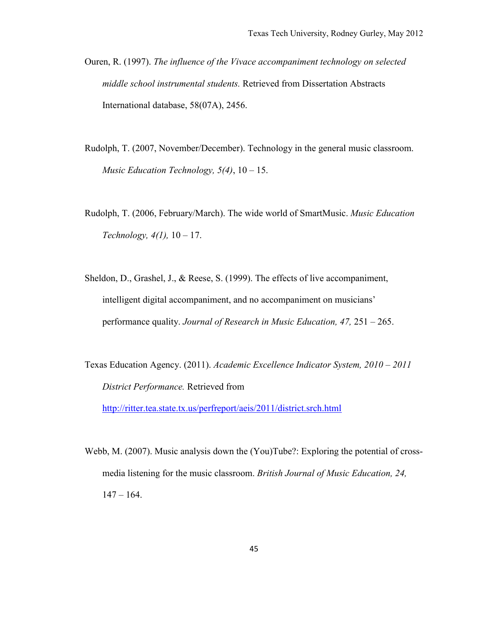- Ouren, R. (1997). *The influence of the Vivace accompaniment technology on selected middle school instrumental students.* Retrieved from Dissertation Abstracts International database, 58(07A), 2456.
- Rudolph, T. (2007, November/December). Technology in the general music classroom. *Music Education Technology, 5(4)*, 10 – 15.
- Rudolph, T. (2006, February/March). The wide world of SmartMusic. *Music Education Technology, 4(1),* 10 – 17.
- Sheldon, D., Grashel, J., & Reese, S. (1999). The effects of live accompaniment, intelligent digital accompaniment, and no accompaniment on musicians' performance quality. *Journal of Research in Music Education, 47,* 251 – 265.
- Texas Education Agency. (2011). *Academic Excellence Indicator System, 2010 2011 District Performance.* Retrieved from

<http://ritter.tea.state.tx.us/perfreport/aeis/2011/district.srch.html>

Webb, M. (2007). Music analysis down the (You)Tube?: Exploring the potential of crossmedia listening for the music classroom. *British Journal of Music Education, 24,*  $147 - 164.$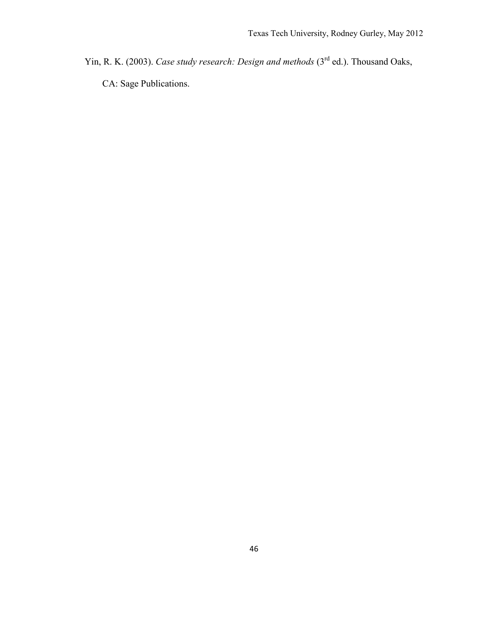Yin, R. K. (2003). *Case study research: Design and methods* (3<sup>rd</sup> ed.). Thousand Oaks,

CA: Sage Publications.